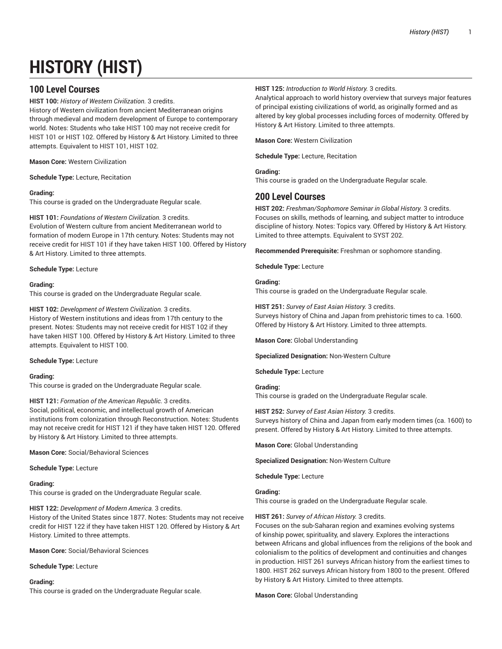# **HISTORY (HIST)**

# **100 Level Courses**

**HIST 100:** *History of Western Civilization.* 3 credits. History of Western civilization from ancient Mediterranean origins through medieval and modern development of Europe to contemporary world. Notes: Students who take HIST 100 may not receive credit for HIST 101 or HIST 102. Offered by History & Art History. Limited to three attempts. Equivalent to HIST 101, HIST 102.

**Mason Core:** Western Civilization

**Schedule Type:** Lecture, Recitation

# **Grading:**

This course is graded on the Undergraduate Regular scale.

# **HIST 101:** *Foundations of Western Civilization.* 3 credits.

Evolution of Western culture from ancient Mediterranean world to formation of modern Europe in 17th century. Notes: Students may not receive credit for HIST 101 if they have taken HIST 100. Offered by History & Art History. Limited to three attempts.

# **Schedule Type:** Lecture

# **Grading:**

This course is graded on the Undergraduate Regular scale.

**HIST 102:** *Development of Western Civilization.* 3 credits. History of Western institutions and ideas from 17th century to the present. Notes: Students may not receive credit for HIST 102 if they have taken HIST 100. Offered by History & Art History. Limited to three attempts. Equivalent to HIST 100.

# **Schedule Type:** Lecture

# **Grading:**

This course is graded on the Undergraduate Regular scale.

# **HIST 121:** *Formation of the American Republic.* 3 credits.

Social, political, economic, and intellectual growth of American institutions from colonization through Reconstruction. Notes: Students may not receive credit for HIST 121 if they have taken HIST 120. Offered by History & Art History. Limited to three attempts.

**Mason Core:** Social/Behavioral Sciences

# **Schedule Type:** Lecture

# **Grading:**

This course is graded on the Undergraduate Regular scale.

**HIST 122:** *Development of Modern America.* 3 credits.

History of the United States since 1877. Notes: Students may not receive credit for HIST 122 if they have taken HIST 120. Offered by History & Art History. Limited to three attempts.

**Mason Core:** Social/Behavioral Sciences

# **Schedule Type:** Lecture

# **Grading:**

This course is graded on the Undergraduate Regular scale.

# **HIST 125:** *Introduction to World History.* 3 credits.

Analytical approach to world history overview that surveys major features of principal existing civilizations of world, as originally formed and as altered by key global processes including forces of modernity. Offered by History & Art History. Limited to three attempts.

**Mason Core:** Western Civilization

**Schedule Type:** Lecture, Recitation

# **Grading:**

This course is graded on the Undergraduate Regular scale.

# **200 Level Courses**

**HIST 202:** *Freshman/Sophomore Seminar in Global History.* 3 credits. Focuses on skills, methods of learning, and subject matter to introduce discipline of history. Notes: Topics vary. Offered by History & Art History. Limited to three attempts. Equivalent to SYST 202.

**Recommended Prerequisite:** Freshman or sophomore standing.

**Schedule Type:** Lecture

# **Grading:**

This course is graded on the Undergraduate Regular scale.

**HIST 251:** *Survey of East Asian History.* 3 credits. Surveys history of China and Japan from prehistoric times to ca. 1600. Offered by History & Art History. Limited to three attempts.

**Mason Core:** Global Understanding

**Specialized Designation:** Non-Western Culture

**Schedule Type:** Lecture

# **Grading:**

This course is graded on the Undergraduate Regular scale.

# **HIST 252:** *Survey of East Asian History.* 3 credits.

Surveys history of China and Japan from early modern times (ca. 1600) to present. Offered by History & Art History. Limited to three attempts.

**Mason Core:** Global Understanding

**Specialized Designation:** Non-Western Culture

**Schedule Type:** Lecture

# **Grading:**

This course is graded on the Undergraduate Regular scale.

# **HIST 261:** *Survey of African History.* 3 credits.

Focuses on the sub-Saharan region and examines evolving systems of kinship power, spirituality, and slavery. Explores the interactions between Africans and global influences from the religions of the book and colonialism to the politics of development and continuities and changes in production. HIST 261 surveys African history from the earliest times to 1800. HIST 262 surveys African history from 1800 to the present. Offered by History & Art History. Limited to three attempts.

**Mason Core:** Global Understanding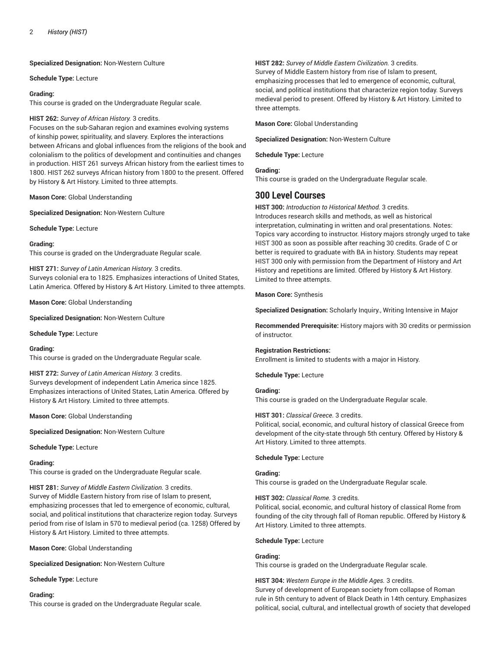**Specialized Designation:** Non-Western Culture

**Schedule Type:** Lecture

## **Grading:**

This course is graded on the Undergraduate Regular scale.

# **HIST 262:** *Survey of African History.* 3 credits.

Focuses on the sub-Saharan region and examines evolving systems of kinship power, spirituality, and slavery. Explores the interactions between Africans and global influences from the religions of the book and colonialism to the politics of development and continuities and changes in production. HIST 261 surveys African history from the earliest times to 1800. HIST 262 surveys African history from 1800 to the present. Offered by History & Art History. Limited to three attempts.

**Mason Core:** Global Understanding

**Specialized Designation:** Non-Western Culture

**Schedule Type:** Lecture

# **Grading:**

This course is graded on the Undergraduate Regular scale.

**HIST 271:** *Survey of Latin American History.* 3 credits. Surveys colonial era to 1825. Emphasizes interactions of United States, Latin America. Offered by History & Art History. Limited to three attempts.

**Mason Core:** Global Understanding

**Specialized Designation:** Non-Western Culture

**Schedule Type:** Lecture

#### **Grading:**

This course is graded on the Undergraduate Regular scale.

# **HIST 272:** *Survey of Latin American History.* 3 credits.

Surveys development of independent Latin America since 1825. Emphasizes interactions of United States, Latin America. Offered by History & Art History. Limited to three attempts.

**Mason Core:** Global Understanding

**Specialized Designation:** Non-Western Culture

**Schedule Type:** Lecture

# **Grading:**

This course is graded on the Undergraduate Regular scale.

**HIST 281:** *Survey of Middle Eastern Civilization.* 3 credits. Survey of Middle Eastern history from rise of Islam to present, emphasizing processes that led to emergence of economic, cultural, social, and political institutions that characterize region today. Surveys period from rise of Islam in 570 to medieval period (ca. 1258) Offered by History & Art History. Limited to three attempts.

**Mason Core:** Global Understanding

**Specialized Designation:** Non-Western Culture

**Schedule Type:** Lecture

#### **Grading:**

This course is graded on the Undergraduate Regular scale.

### **HIST 282:** *Survey of Middle Eastern Civilization.* 3 credits.

Survey of Middle Eastern history from rise of Islam to present, emphasizing processes that led to emergence of economic, cultural, social, and political institutions that characterize region today. Surveys medieval period to present. Offered by History & Art History. Limited to three attempts.

**Mason Core:** Global Understanding

**Specialized Designation:** Non-Western Culture

**Schedule Type:** Lecture

**Grading:**

This course is graded on the Undergraduate Regular scale.

# **300 Level Courses**

**HIST 300:** *Introduction to Historical Method.* 3 credits. Introduces research skills and methods, as well as historical interpretation, culminating in written and oral presentations. Notes: Topics vary according to instructor. History majors strongly urged to take HIST 300 as soon as possible after reaching 30 credits. Grade of C or better is required to graduate with BA in history. Students may repeat HIST 300 only with permission from the Department of History and Art History and repetitions are limited. Offered by History & Art History. Limited to three attempts.

**Mason Core:** Synthesis

**Specialized Designation:** Scholarly Inquiry., Writing Intensive in Major

**Recommended Prerequisite:** History majors with 30 credits or permission of instructor.

# **Registration Restrictions:**

Enrollment is limited to students with a major in History.

**Schedule Type:** Lecture

# **Grading:**

This course is graded on the Undergraduate Regular scale.

# **HIST 301:** *Classical Greece.* 3 credits.

Political, social, economic, and cultural history of classical Greece from development of the city-state through 5th century. Offered by History & Art History. Limited to three attempts.

# **Schedule Type:** Lecture

# **Grading:**

This course is graded on the Undergraduate Regular scale.

**HIST 302:** *Classical Rome.* 3 credits.

Political, social, economic, and cultural history of classical Rome from founding of the city through fall of Roman republic. Offered by History & Art History. Limited to three attempts.

# **Schedule Type:** Lecture

# **Grading:**

This course is graded on the Undergraduate Regular scale.

**HIST 304:** *Western Europe in the Middle Ages.* 3 credits.

Survey of development of European society from collapse of Roman rule in 5th century to advent of Black Death in 14th century. Emphasizes political, social, cultural, and intellectual growth of society that developed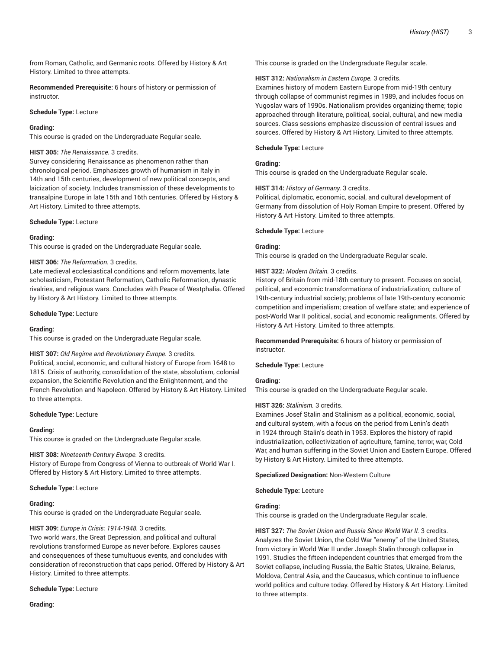from Roman, Catholic, and Germanic roots. Offered by History & Art History. Limited to three attempts.

**Recommended Prerequisite:** 6 hours of history or permission of instructor.

## **Schedule Type:** Lecture

#### **Grading:**

This course is graded on the Undergraduate Regular scale.

#### **HIST 305:** *The Renaissance.* 3 credits.

Survey considering Renaissance as phenomenon rather than chronological period. Emphasizes growth of humanism in Italy in 14th and 15th centuries, development of new political concepts, and laicization of society. Includes transmission of these developments to transalpine Europe in late 15th and 16th centuries. Offered by History & Art History. Limited to three attempts.

#### **Schedule Type:** Lecture

#### **Grading:**

This course is graded on the Undergraduate Regular scale.

#### **HIST 306:** *The Reformation.* 3 credits.

Late medieval ecclesiastical conditions and reform movements, late scholasticism, Protestant Reformation, Catholic Reformation, dynastic rivalries, and religious wars. Concludes with Peace of Westphalia. Offered by History & Art History. Limited to three attempts.

#### **Schedule Type:** Lecture

#### **Grading:**

This course is graded on the Undergraduate Regular scale.

# **HIST 307:** *Old Regime and Revolutionary Europe.* 3 credits.

Political, social, economic, and cultural history of Europe from 1648 to 1815. Crisis of authority, consolidation of the state, absolutism, colonial expansion, the Scientific Revolution and the Enlightenment, and the French Revolution and Napoleon. Offered by History & Art History. Limited to three attempts.

#### **Schedule Type:** Lecture

#### **Grading:**

This course is graded on the Undergraduate Regular scale.

#### **HIST 308:** *Nineteenth-Century Europe.* 3 credits.

History of Europe from Congress of Vienna to outbreak of World War I. Offered by History & Art History. Limited to three attempts.

#### **Schedule Type:** Lecture

# **Grading:**

This course is graded on the Undergraduate Regular scale.

# **HIST 309:** *Europe in Crisis: 1914-1948.* 3 credits.

Two world wars, the Great Depression, and political and cultural revolutions transformed Europe as never before. Explores causes and consequences of these tumultuous events, and concludes with consideration of reconstruction that caps period. Offered by History & Art History. Limited to three attempts.

# **Schedule Type:** Lecture

**Grading:**

This course is graded on the Undergraduate Regular scale.

#### **HIST 312:** *Nationalism in Eastern Europe.* 3 credits.

Examines history of modern Eastern Europe from mid-19th century through collapse of communist regimes in 1989, and includes focus on Yugoslav wars of 1990s. Nationalism provides organizing theme; topic approached through literature, political, social, cultural, and new media sources. Class sessions emphasize discussion of central issues and sources. Offered by History & Art History. Limited to three attempts.

### **Schedule Type:** Lecture

# **Grading:**

This course is graded on the Undergraduate Regular scale.

# **HIST 314:** *History of Germany.* 3 credits.

Political, diplomatic, economic, social, and cultural development of Germany from dissolution of Holy Roman Empire to present. Offered by History & Art History. Limited to three attempts.

#### **Schedule Type:** Lecture

### **Grading:**

This course is graded on the Undergraduate Regular scale.

#### **HIST 322:** *Modern Britain.* 3 credits.

History of Britain from mid-18th century to present. Focuses on social, political, and economic transformations of industrialization; culture of 19th-century industrial society; problems of late 19th-century economic competition and imperialism; creation of welfare state; and experience of post-World War II political, social, and economic realignments. Offered by History & Art History. Limited to three attempts.

**Recommended Prerequisite:** 6 hours of history or permission of instructor.

**Schedule Type:** Lecture

### **Grading:**

This course is graded on the Undergraduate Regular scale.

# **HIST 326:** *Stalinism.* 3 credits.

Examines Josef Stalin and Stalinism as a political, economic, social, and cultural system, with a focus on the period from Lenin's death in 1924 through Stalin's death in 1953. Explores the history of rapid industrialization, collectivization of agriculture, famine, terror, war, Cold War, and human suffering in the Soviet Union and Eastern Europe. Offered by History & Art History. Limited to three attempts.

#### **Specialized Designation:** Non-Western Culture

#### **Schedule Type:** Lecture

#### **Grading:**

This course is graded on the Undergraduate Regular scale.

**HIST 327:** *The Soviet Union and Russia Since World War II.* 3 credits. Analyzes the Soviet Union, the Cold War "enemy" of the United States, from victory in World War II under Joseph Stalin through collapse in 1991. Studies the fifteen independent countries that emerged from the Soviet collapse, including Russia, the Baltic States, Ukraine, Belarus, Moldova, Central Asia, and the Caucasus, which continue to influence world politics and culture today. Offered by History & Art History. Limited to three attempts.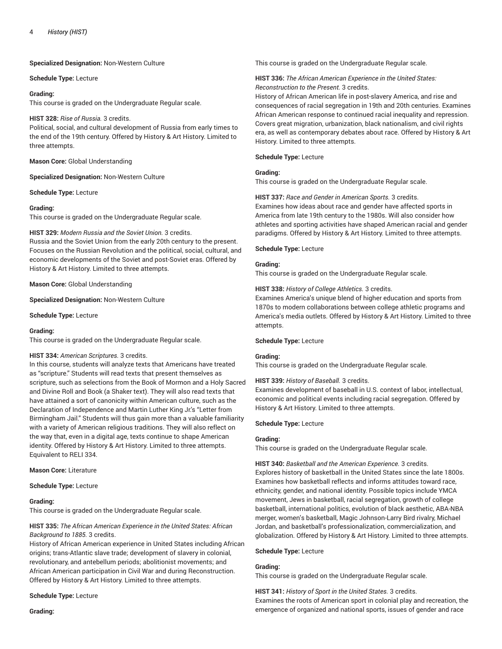**Specialized Designation:** Non-Western Culture

**Schedule Type:** Lecture

## **Grading:**

This course is graded on the Undergraduate Regular scale.

## **HIST 328:** *Rise of Russia.* 3 credits.

Political, social, and cultural development of Russia from early times to the end of the 19th century. Offered by History & Art History. Limited to three attempts.

**Mason Core:** Global Understanding

**Specialized Designation:** Non-Western Culture

**Schedule Type:** Lecture

# **Grading:**

This course is graded on the Undergraduate Regular scale.

# **HIST 329:** *Modern Russia and the Soviet Union.* 3 credits.

Russia and the Soviet Union from the early 20th century to the present. Focuses on the Russian Revolution and the political, social, cultural, and economic developments of the Soviet and post-Soviet eras. Offered by History & Art History. Limited to three attempts.

**Mason Core:** Global Understanding

**Specialized Designation:** Non-Western Culture

**Schedule Type:** Lecture

# **Grading:**

This course is graded on the Undergraduate Regular scale.

# **HIST 334:** *American Scriptures.* 3 credits.

In this course, students will analyze texts that Americans have treated as "scripture." Students will read texts that present themselves as scripture, such as selections from the Book of Mormon and a Holy Sacred and Divine Roll and Book (a Shaker text). They will also read texts that have attained a sort of canonicity within American culture, such as the Declaration of Independence and Martin Luther King Jr.'s "Letter from Birmingham Jail." Students will thus gain more than a valuable familiarity with a variety of American religious traditions. They will also reflect on the way that, even in a digital age, texts continue to shape American identity. Offered by History & Art History. Limited to three attempts. Equivalent to RELI 334.

**Mason Core:** Literature

# **Schedule Type:** Lecture

# **Grading:**

This course is graded on the Undergraduate Regular scale.

# **HIST 335:** *The African American Experience in the United States: African Background to 1885.* 3 credits.

History of African American experience in United States including African origins; trans-Atlantic slave trade; development of slavery in colonial, revolutionary, and antebellum periods; abolitionist movements; and African American participation in Civil War and during Reconstruction. Offered by History & Art History. Limited to three attempts.

# **Schedule Type:** Lecture

**Grading:**

This course is graded on the Undergraduate Regular scale.

**HIST 336:** *The African American Experience in the United States: Reconstruction to the Present.* 3 credits.

History of African American life in post-slavery America, and rise and consequences of racial segregation in 19th and 20th centuries. Examines African American response to continued racial inequality and repression. Covers great migration, urbanization, black nationalism, and civil rights era, as well as contemporary debates about race. Offered by History & Art History. Limited to three attempts.

# **Schedule Type:** Lecture

# **Grading:**

This course is graded on the Undergraduate Regular scale.

# **HIST 337:** *Race and Gender in American Sports.* 3 credits.

Examines how ideas about race and gender have affected sports in America from late 19th century to the 1980s. Will also consider how athletes and sporting activities have shaped American racial and gender paradigms. Offered by History & Art History. Limited to three attempts.

#### **Schedule Type:** Lecture

#### **Grading:**

This course is graded on the Undergraduate Regular scale.

#### **HIST 338:** *History of College Athletics.* 3 credits.

Examines America's unique blend of higher education and sports from 1870s to modern collaborations between college athletic programs and America's media outlets. Offered by History & Art History. Limited to three attempts.

# **Schedule Type:** Lecture

# **Grading:**

This course is graded on the Undergraduate Regular scale.

#### **HIST 339:** *History of Baseball.* 3 credits.

Examines development of baseball in U.S. context of labor, intellectual, economic and political events including racial segregation. Offered by History & Art History. Limited to three attempts.

#### **Schedule Type:** Lecture

# **Grading:**

This course is graded on the Undergraduate Regular scale.

**HIST 340:** *Basketball and the American Experience.* 3 credits. Explores history of basketball in the United States since the late 1800s. Examines how basketball reflects and informs attitudes toward race, ethnicity, gender, and national identity. Possible topics include YMCA movement, Jews in basketball, racial segregation, growth of college basketball, international politics, evolution of black aesthetic, ABA-NBA merger, women's basketball, Magic Johnson-Larry Bird rivalry, Michael Jordan, and basketball's professionalization, commercialization, and globalization. Offered by History & Art History. Limited to three attempts.

#### **Schedule Type:** Lecture

# **Grading:**

This course is graded on the Undergraduate Regular scale.

**HIST 341:** *History of Sport in the United States.* 3 credits. Examines the roots of American sport in colonial play and recreation, the emergence of organized and national sports, issues of gender and race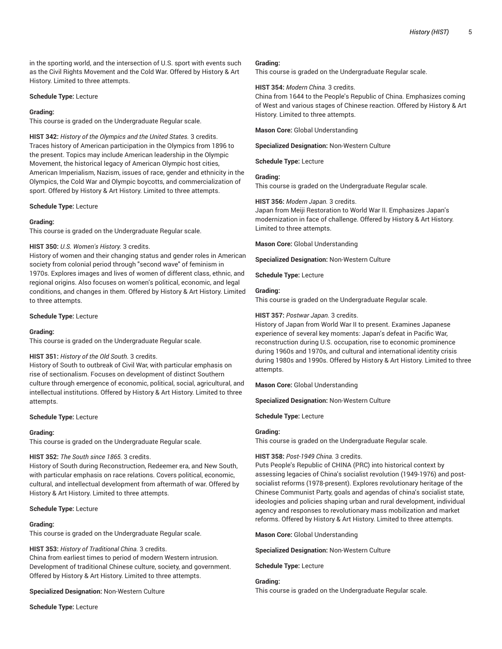in the sporting world, and the intersection of U.S. sport with events such as the Civil Rights Movement and the Cold War. Offered by History & Art History. Limited to three attempts.

## **Schedule Type:** Lecture

## **Grading:**

This course is graded on the Undergraduate Regular scale.

**HIST 342:** *History of the Olympics and the United States.* 3 credits. Traces history of American participation in the Olympics from 1896 to the present. Topics may include American leadership in the Olympic Movement, the historical legacy of American Olympic host cities, American Imperialism, Nazism, issues of race, gender and ethnicity in the Olympics, the Cold War and Olympic boycotts, and commercialization of sport. Offered by History & Art History. Limited to three attempts.

#### **Schedule Type:** Lecture

#### **Grading:**

This course is graded on the Undergraduate Regular scale.

#### **HIST 350:** *U.S. Women's History.* 3 credits.

History of women and their changing status and gender roles in American society from colonial period through "second wave" of feminism in 1970s. Explores images and lives of women of different class, ethnic, and regional origins. Also focuses on women's political, economic, and legal conditions, and changes in them. Offered by History & Art History. Limited to three attempts.

#### **Schedule Type:** Lecture

# **Grading:**

This course is graded on the Undergraduate Regular scale.

#### **HIST 351:** *History of the Old South.* 3 credits.

History of South to outbreak of Civil War, with particular emphasis on rise of sectionalism. Focuses on development of distinct Southern culture through emergence of economic, political, social, agricultural, and intellectual institutions. Offered by History & Art History. Limited to three attempts.

#### **Schedule Type:** Lecture

# **Grading:**

This course is graded on the Undergraduate Regular scale.

# **HIST 352:** *The South since 1865.* 3 credits.

History of South during Reconstruction, Redeemer era, and New South, with particular emphasis on race relations. Covers political, economic, cultural, and intellectual development from aftermath of war. Offered by History & Art History. Limited to three attempts.

#### **Schedule Type:** Lecture

### **Grading:**

This course is graded on the Undergraduate Regular scale.

#### **HIST 353:** *History of Traditional China.* 3 credits.

China from earliest times to period of modern Western intrusion. Development of traditional Chinese culture, society, and government. Offered by History & Art History. Limited to three attempts.

#### **Specialized Designation:** Non-Western Culture

**Schedule Type:** Lecture

#### **Grading:**

This course is graded on the Undergraduate Regular scale.

#### **HIST 354:** *Modern China.* 3 credits.

China from 1644 to the People's Republic of China. Emphasizes coming of West and various stages of Chinese reaction. Offered by History & Art History. Limited to three attempts.

**Mason Core:** Global Understanding

**Specialized Designation:** Non-Western Culture

**Schedule Type:** Lecture

# **Grading:**

This course is graded on the Undergraduate Regular scale.

#### **HIST 356:** *Modern Japan.* 3 credits.

Japan from Meiji Restoration to World War II. Emphasizes Japan's modernization in face of challenge. Offered by History & Art History. Limited to three attempts.

**Mason Core:** Global Understanding

**Specialized Designation:** Non-Western Culture

**Schedule Type:** Lecture

#### **Grading:**

This course is graded on the Undergraduate Regular scale.

### **HIST 357:** *Postwar Japan.* 3 credits.

History of Japan from World War II to present. Examines Japanese experience of several key moments: Japan's defeat in Pacific War, reconstruction during U.S. occupation, rise to economic prominence during 1960s and 1970s, and cultural and international identity crisis during 1980s and 1990s. Offered by History & Art History. Limited to three attempts.

**Mason Core:** Global Understanding

**Specialized Designation:** Non-Western Culture

**Schedule Type:** Lecture

# **Grading:**

This course is graded on the Undergraduate Regular scale.

# **HIST 358:** *Post-1949 China.* 3 credits.

Puts People's Republic of CHINA (PRC) into historical context by assessing legacies of China's socialist revolution (1949-1976) and postsocialist reforms (1978-present). Explores revolutionary heritage of the Chinese Communist Party, goals and agendas of china's socialist state, ideologies and policies shaping urban and rural development, individual agency and responses to revolutionary mass mobilization and market reforms. Offered by History & Art History. Limited to three attempts.

**Mason Core:** Global Understanding

**Specialized Designation:** Non-Western Culture

**Schedule Type:** Lecture

**Grading:**

This course is graded on the Undergraduate Regular scale.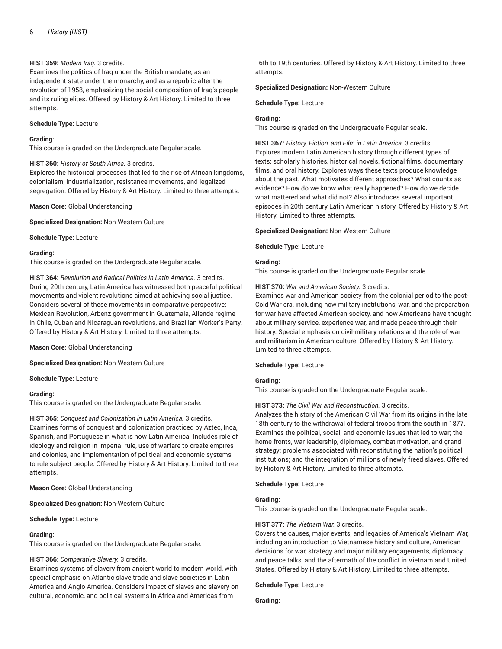# **HIST 359:** *Modern Iraq.* 3 credits.

Examines the politics of Iraq under the British mandate, as an independent state under the monarchy, and as a republic after the revolution of 1958, emphasizing the social composition of Iraq's people and its ruling elites. Offered by History & Art History. Limited to three attempts.

## **Schedule Type:** Lecture

## **Grading:**

This course is graded on the Undergraduate Regular scale.

# **HIST 360:** *History of South Africa.* 3 credits.

Explores the historical processes that led to the rise of African kingdoms, colonialism, industrialization, resistance movements, and legalized segregation. Offered by History & Art History. Limited to three attempts.

# **Mason Core:** Global Understanding

**Specialized Designation:** Non-Western Culture

**Schedule Type:** Lecture

#### **Grading:**

This course is graded on the Undergraduate Regular scale.

**HIST 364:** *Revolution and Radical Politics in Latin America.* 3 credits. During 20th century, Latin America has witnessed both peaceful political movements and violent revolutions aimed at achieving social justice. Considers several of these movements in comparative perspective: Mexican Revolution, Arbenz government in Guatemala, Allende regime in Chile, Cuban and Nicaraguan revolutions, and Brazilian Worker's Party. Offered by History & Art History. Limited to three attempts.

# **Mason Core:** Global Understanding

**Specialized Designation:** Non-Western Culture

# **Schedule Type:** Lecture

# **Grading:**

This course is graded on the Undergraduate Regular scale.

**HIST 365:** *Conquest and Colonization in Latin America.* 3 credits. Examines forms of conquest and colonization practiced by Aztec, Inca, Spanish, and Portuguese in what is now Latin America. Includes role of ideology and religion in imperial rule, use of warfare to create empires and colonies, and implementation of political and economic systems to rule subject people. Offered by History & Art History. Limited to three attempts.

**Mason Core:** Global Understanding

**Specialized Designation:** Non-Western Culture

# **Schedule Type:** Lecture

# **Grading:**

This course is graded on the Undergraduate Regular scale.

# **HIST 366:** *Comparative Slavery.* 3 credits.

Examines systems of slavery from ancient world to modern world, with special emphasis on Atlantic slave trade and slave societies in Latin America and Anglo America. Considers impact of slaves and slavery on cultural, economic, and political systems in Africa and Americas from

16th to 19th centuries. Offered by History & Art History. Limited to three attempts.

#### **Specialized Designation:** Non-Western Culture

**Schedule Type:** Lecture

# **Grading:**

This course is graded on the Undergraduate Regular scale.

**HIST 367:** *History, Fiction, and Film in Latin America.* 3 credits.

Explores modern Latin American history through different types of texts: scholarly histories, historical novels, fictional films, documentary films, and oral history. Explores ways these texts produce knowledge about the past. What motivates different approaches? What counts as evidence? How do we know what really happened? How do we decide what mattered and what did not? Also introduces several important episodes in 20th century Latin American history. Offered by History & Art History. Limited to three attempts.

# **Specialized Designation:** Non-Western Culture

**Schedule Type:** Lecture

# **Grading:**

This course is graded on the Undergraduate Regular scale.

# **HIST 370:** *War and American Society.* 3 credits.

Examines war and American society from the colonial period to the post-Cold War era, including how military institutions, war, and the preparation for war have affected American society, and how Americans have thought about military service, experience war, and made peace through their history. Special emphasis on civil-military relations and the role of war and militarism in American culture. Offered by History & Art History. Limited to three attempts.

#### **Schedule Type:** Lecture

# **Grading:**

This course is graded on the Undergraduate Regular scale.

# **HIST 373:** *The Civil War and Reconstruction.* 3 credits.

Analyzes the history of the American Civil War from its origins in the late 18th century to the withdrawal of federal troops from the south in 1877. Examines the political, social, and economic issues that led to war; the home fronts, war leadership, diplomacy, combat motivation, and grand strategy; problems associated with reconstituting the nation's political institutions; and the integration of millions of newly freed slaves. Offered by History & Art History. Limited to three attempts.

# **Schedule Type:** Lecture

# **Grading:**

This course is graded on the Undergraduate Regular scale.

# **HIST 377:** *The Vietnam War.* 3 credits.

Covers the causes, major events, and legacies of America's Vietnam War, including an introduction to Vietnamese history and culture, American decisions for war, strategy and major military engagements, diplomacy and peace talks, and the aftermath of the conflict in Vietnam and United States. Offered by History & Art History. Limited to three attempts.

#### **Schedule Type:** Lecture

**Grading:**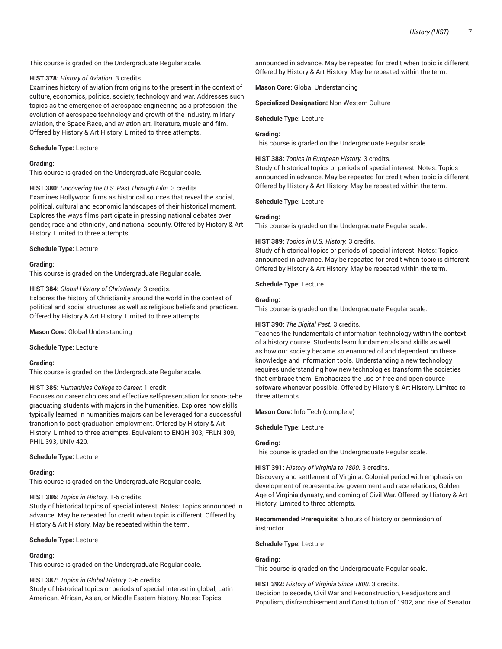This course is graded on the Undergraduate Regular scale.

#### **HIST 378:** *History of Aviation.* 3 credits.

Examines history of aviation from origins to the present in the context of culture, economics, politics, society, technology and war. Addresses such topics as the emergence of aerospace engineering as a profession, the evolution of aerospace technology and growth of the industry, military aviation, the Space Race, and aviation art, literature, music and film. Offered by History & Art History. Limited to three attempts.

#### **Schedule Type:** Lecture

### **Grading:**

This course is graded on the Undergraduate Regular scale.

**HIST 380:** *Uncovering the U.S. Past Through Film.* 3 credits. Examines Hollywood films as historical sources that reveal the social, political, cultural and economic landscapes of their historical moment. Explores the ways films participate in pressing national debates over gender, race and ethnicity , and national security. Offered by History & Art History. Limited to three attempts.

#### **Schedule Type:** Lecture

### **Grading:**

This course is graded on the Undergraduate Regular scale.

#### **HIST 384:** *Global History of Christianity.* 3 credits.

Exlpores the history of Christianity around the world in the context of political and social structures as well as religious beliefs and practices. Offered by History & Art History. Limited to three attempts.

**Mason Core:** Global Understanding

**Schedule Type:** Lecture

#### **Grading:**

This course is graded on the Undergraduate Regular scale.

# **HIST 385:** *Humanities College to Career.* 1 credit.

Focuses on career choices and effective self-presentation for soon-to-be graduating students with majors in the humanities. Explores how skills typically learned in humanities majors can be leveraged for a successful transition to post-graduation employment. Offered by History & Art History. Limited to three attempts. Equivalent to ENGH 303, FRLN 309, PHIL 393, UNIV 420.

#### **Schedule Type:** Lecture

### **Grading:**

This course is graded on the Undergraduate Regular scale.

#### **HIST 386:** *Topics in History.* 1-6 credits.

Study of historical topics of special interest. Notes: Topics announced in advance. May be repeated for credit when topic is different. Offered by History & Art History. May be repeated within the term.

#### **Schedule Type:** Lecture

#### **Grading:**

This course is graded on the Undergraduate Regular scale.

#### **HIST 387:** *Topics in Global History.* 3-6 credits.

Study of historical topics or periods of special interest in global, Latin American, African, Asian, or Middle Eastern history. Notes: Topics

announced in advance. May be repeated for credit when topic is different. Offered by History & Art History. May be repeated within the term.

**Mason Core:** Global Understanding

**Specialized Designation:** Non-Western Culture

#### **Schedule Type:** Lecture

# **Grading:**

This course is graded on the Undergraduate Regular scale.

**HIST 388:** *Topics in European History.* 3 credits.

Study of historical topics or periods of special interest. Notes: Topics announced in advance. May be repeated for credit when topic is different. Offered by History & Art History. May be repeated within the term.

## **Schedule Type:** Lecture

#### **Grading:**

This course is graded on the Undergraduate Regular scale.

#### **HIST 389:** *Topics in U.S. History.* 3 credits.

Study of historical topics or periods of special interest. Notes: Topics announced in advance. May be repeated for credit when topic is different. Offered by History & Art History. May be repeated within the term.

# **Schedule Type:** Lecture

#### **Grading:**

This course is graded on the Undergraduate Regular scale.

# **HIST 390:** *The Digital Past.* 3 credits.

Teaches the fundamentals of information technology within the context of a history course. Students learn fundamentals and skills as well as how our society became so enamored of and dependent on these knowledge and information tools. Understanding a new technology requires understanding how new technologies transform the societies that embrace them. Emphasizes the use of free and open-source software whenever possible. Offered by History & Art History. Limited to three attempts.

**Mason Core:** Info Tech (complete)

**Schedule Type:** Lecture

# **Grading:**

This course is graded on the Undergraduate Regular scale.

# **HIST 391:** *History of Virginia to 1800.* 3 credits.

Discovery and settlement of Virginia. Colonial period with emphasis on development of representative government and race relations, Golden Age of Virginia dynasty, and coming of Civil War. Offered by History & Art History. Limited to three attempts.

**Recommended Prerequisite:** 6 hours of history or permission of instructor.

### **Schedule Type:** Lecture

# **Grading:**

This course is graded on the Undergraduate Regular scale.

**HIST 392:** *History of Virginia Since 1800.* 3 credits. Decision to secede, Civil War and Reconstruction, Readjustors and

Populism, disfranchisement and Constitution of 1902, and rise of Senator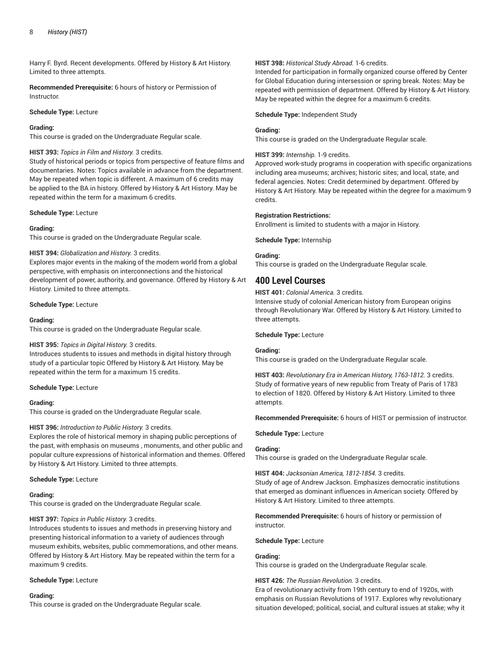Harry F. Byrd. Recent developments. Offered by History & Art History. Limited to three attempts.

**Recommended Prerequisite:** 6 hours of history or Permission of Instructor.

## **Schedule Type:** Lecture

## **Grading:**

This course is graded on the Undergraduate Regular scale.

# **HIST 393:** *Topics in Film and History.* 3 credits.

Study of historical periods or topics from perspective of feature films and documentaries. Notes: Topics available in advance from the department. May be repeated when topic is different. A maximum of 6 credits may be applied to the BA in history. Offered by History & Art History. May be repeated within the term for a maximum 6 credits.

#### **Schedule Type:** Lecture

# **Grading:**

This course is graded on the Undergraduate Regular scale.

# **HIST 394:** *Globalization and History.* 3 credits.

Explores major events in the making of the modern world from a global perspective, with emphasis on interconnections and the historical development of power, authority, and governance. Offered by History & Art History. Limited to three attempts.

#### **Schedule Type:** Lecture

#### **Grading:**

This course is graded on the Undergraduate Regular scale.

# **HIST 395:** *Topics in Digital History.* 3 credits.

Introduces students to issues and methods in digital history through study of a particular topic Offered by History & Art History. May be repeated within the term for a maximum 15 credits.

#### **Schedule Type:** Lecture

#### **Grading:**

This course is graded on the Undergraduate Regular scale.

# **HIST 396:** *Introduction to Public History.* 3 credits.

Explores the role of historical memory in shaping public perceptions of the past, with emphasis on museums , monuments, and other public and popular culture expressions of historical information and themes. Offered by History & Art History. Limited to three attempts.

#### **Schedule Type:** Lecture

#### **Grading:**

This course is graded on the Undergraduate Regular scale.

# **HIST 397:** *Topics in Public History.* 3 credits.

Introduces students to issues and methods in preserving history and presenting historical information to a variety of audiences through museum exhibits, websites, public commemorations, and other means. Offered by History & Art History. May be repeated within the term for a maximum 9 credits.

# **Schedule Type:** Lecture

# **Grading:**

This course is graded on the Undergraduate Regular scale.

### **HIST 398:** *Historical Study Abroad.* 1-6 credits.

Intended for participation in formally organized course offered by Center for Global Education during intersession or spring break. Notes: May be repeated with permission of department. Offered by History & Art History. May be repeated within the degree for a maximum 6 credits.

#### **Schedule Type:** Independent Study

#### **Grading:**

This course is graded on the Undergraduate Regular scale.

## **HIST 399:** *Internship.* 1-9 credits.

Approved work-study programs in cooperation with specific organizations including area museums; archives; historic sites; and local, state, and federal agencies. Notes: Credit determined by department. Offered by History & Art History. May be repeated within the degree for a maximum 9 credits.

#### **Registration Restrictions:**

Enrollment is limited to students with a major in History.

**Schedule Type:** Internship

#### **Grading:**

This course is graded on the Undergraduate Regular scale.

# **400 Level Courses**

**HIST 401:** *Colonial America.* 3 credits.

Intensive study of colonial American history from European origins through Revolutionary War. Offered by History & Art History. Limited to three attempts.

#### **Schedule Type:** Lecture

# **Grading:**

This course is graded on the Undergraduate Regular scale.

**HIST 403:** *Revolutionary Era in American History, 1763-1812.* 3 credits. Study of formative years of new republic from Treaty of Paris of 1783 to election of 1820. Offered by History & Art History. Limited to three attempts.

**Recommended Prerequisite:** 6 hours of HIST or permission of instructor.

# **Schedule Type:** Lecture

# **Grading:**

This course is graded on the Undergraduate Regular scale.

#### **HIST 404:** *Jacksonian America, 1812-1854.* 3 credits.

Study of age of Andrew Jackson. Emphasizes democratic institutions that emerged as dominant influences in American society. Offered by History & Art History. Limited to three attempts.

**Recommended Prerequisite:** 6 hours of history or permission of instructor.

# **Schedule Type:** Lecture

### **Grading:**

This course is graded on the Undergraduate Regular scale.

#### **HIST 426:** *The Russian Revolution.* 3 credits.

Era of revolutionary activity from 19th century to end of 1920s, with emphasis on Russian Revolutions of 1917. Explores why revolutionary situation developed; political, social, and cultural issues at stake; why it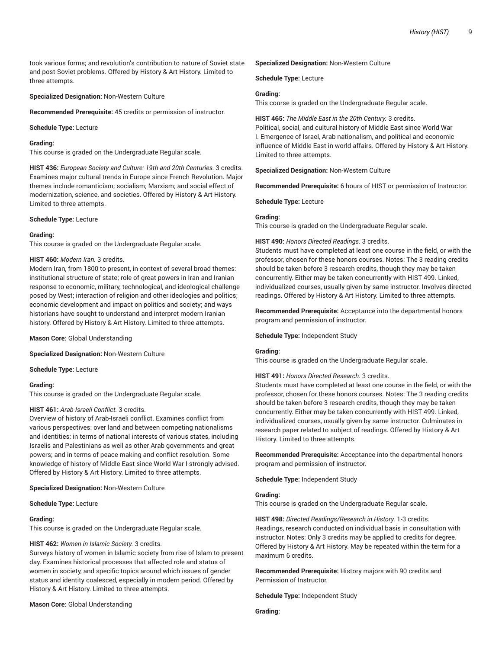took various forms; and revolution's contribution to nature of Soviet state and post-Soviet problems. Offered by History & Art History. Limited to three attempts.

**Specialized Designation:** Non-Western Culture

**Recommended Prerequisite:** 45 credits or permission of instructor.

**Schedule Type:** Lecture

# **Grading:**

This course is graded on the Undergraduate Regular scale.

**HIST 436:** *European Society and Culture: 19th and 20th Centuries.* 3 credits. Examines major cultural trends in Europe since French Revolution. Major themes include romanticism; socialism; Marxism; and social effect of modernization, science, and societies. Offered by History & Art History. Limited to three attempts.

#### **Schedule Type:** Lecture

#### **Grading:**

This course is graded on the Undergraduate Regular scale.

# **HIST 460:** *Modern Iran.* 3 credits.

Modern Iran, from 1800 to present, in context of several broad themes: institutional structure of state; role of great powers in Iran and Iranian response to economic, military, technological, and ideological challenge posed by West; interaction of religion and other ideologies and politics; economic development and impact on politics and society; and ways historians have sought to understand and interpret modern Iranian history. Offered by History & Art History. Limited to three attempts.

**Mason Core:** Global Understanding

**Specialized Designation:** Non-Western Culture

**Schedule Type:** Lecture

#### **Grading:**

This course is graded on the Undergraduate Regular scale.

#### **HIST 461:** *Arab-Israeli Conflict.* 3 credits.

Overview of history of Arab-Israeli conflict. Examines conflict from various perspectives: over land and between competing nationalisms and identities; in terms of national interests of various states, including Israelis and Palestinians as well as other Arab governments and great powers; and in terms of peace making and conflict resolution. Some knowledge of history of Middle East since World War I strongly advised. Offered by History & Art History. Limited to three attempts.

**Specialized Designation:** Non-Western Culture

**Schedule Type:** Lecture

#### **Grading:**

This course is graded on the Undergraduate Regular scale.

# **HIST 462:** *Women in Islamic Society.* 3 credits.

Surveys history of women in Islamic society from rise of Islam to present day. Examines historical processes that affected role and status of women in society, and specific topics around which issues of gender status and identity coalesced, especially in modern period. Offered by History & Art History. Limited to three attempts.

**Mason Core:** Global Understanding

#### **Specialized Designation:** Non-Western Culture

**Schedule Type:** Lecture

#### **Grading:**

This course is graded on the Undergraduate Regular scale.

**HIST 465:** *The Middle East in the 20th Century.* 3 credits. Political, social, and cultural history of Middle East since World War I. Emergence of Israel, Arab nationalism, and political and economic influence of Middle East in world affairs. Offered by History & Art History. Limited to three attempts.

**Specialized Designation:** Non-Western Culture

**Recommended Prerequisite:** 6 hours of HIST or permission of Instructor.

**Schedule Type:** Lecture

#### **Grading:**

This course is graded on the Undergraduate Regular scale.

#### **HIST 490:** *Honors Directed Readings.* 3 credits.

Students must have completed at least one course in the field, or with the professor, chosen for these honors courses. Notes: The 3 reading credits should be taken before 3 research credits, though they may be taken concurrently. Either may be taken concurrently with HIST 499. Linked, individualized courses, usually given by same instructor. Involves directed readings. Offered by History & Art History. Limited to three attempts.

**Recommended Prerequisite:** Acceptance into the departmental honors program and permission of instructor.

**Schedule Type:** Independent Study

### **Grading:**

This course is graded on the Undergraduate Regular scale.

#### **HIST 491:** *Honors Directed Research.* 3 credits.

Students must have completed at least one course in the field, or with the professor, chosen for these honors courses. Notes: The 3 reading credits should be taken before 3 research credits, though they may be taken concurrently. Either may be taken concurrently with HIST 499. Linked, individualized courses, usually given by same instructor. Culminates in research paper related to subject of readings. Offered by History & Art History. Limited to three attempts.

**Recommended Prerequisite:** Acceptance into the departmental honors program and permission of instructor.

**Schedule Type:** Independent Study

#### **Grading:**

This course is graded on the Undergraduate Regular scale.

**HIST 498:** *Directed Readings/Research in History.* 1-3 credits. Readings, research conducted on individual basis in consultation with instructor. Notes: Only 3 credits may be applied to credits for degree. Offered by History & Art History. May be repeated within the term for a maximum 6 credits.

**Recommended Prerequisite:** History majors with 90 credits and Permission of Instructor.

**Schedule Type:** Independent Study

**Grading:**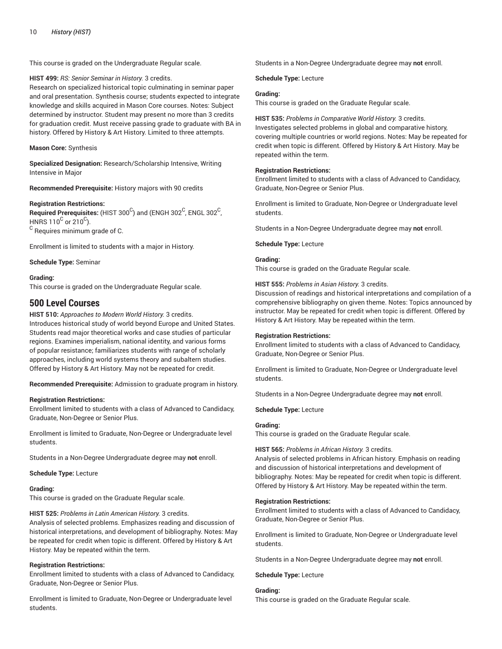This course is graded on the Undergraduate Regular scale.

**HIST 499:** *RS: Senior Seminar in History.* 3 credits.

Research on specialized historical topic culminating in seminar paper and oral presentation. Synthesis course; students expected to integrate knowledge and skills acquired in Mason Core courses. Notes: Subject determined by instructor. Student may present no more than 3 credits for graduation credit. Must receive passing grade to graduate with BA in history. Offered by History & Art History. Limited to three attempts.

## **Mason Core:** Synthesis

**Specialized Designation:** Research/Scholarship Intensive, Writing Intensive in Major

**Recommended Prerequisite:** History majors with 90 credits

#### **Registration Restrictions:**

 $\,$  Required Prerequisites: (HIST 300 $^{\rm C}$ ) and (ENGH 302 $^{\rm C}$ , ENGL 302 $^{\rm C}$ , HNRS 110 $^{\rm C}$  or 210 $^{\rm C}$ ).  $^{\rm C}$  Requires minimum grade of C.

Enrollment is limited to students with a major in History.

**Schedule Type:** Seminar

# **Grading:**

This course is graded on the Undergraduate Regular scale.

# **500 Level Courses**

# **HIST 510:** *Approaches to Modern World History.* 3 credits.

Introduces historical study of world beyond Europe and United States. Students read major theoretical works and case studies of particular regions. Examines imperialism, national identity, and various forms of popular resistance; familiarizes students with range of scholarly approaches, including world systems theory and subaltern studies. Offered by History & Art History. May not be repeated for credit.

**Recommended Prerequisite:** Admission to graduate program in history.

# **Registration Restrictions:**

Enrollment limited to students with a class of Advanced to Candidacy, Graduate, Non-Degree or Senior Plus.

Enrollment is limited to Graduate, Non-Degree or Undergraduate level students.

Students in a Non-Degree Undergraduate degree may **not** enroll.

**Schedule Type:** Lecture

#### **Grading:**

This course is graded on the Graduate Regular scale.

**HIST 525:** *Problems in Latin American History.* 3 credits.

Analysis of selected problems. Emphasizes reading and discussion of historical interpretations, and development of bibliography. Notes: May be repeated for credit when topic is different. Offered by History & Art History. May be repeated within the term.

# **Registration Restrictions:**

Enrollment limited to students with a class of Advanced to Candidacy, Graduate, Non-Degree or Senior Plus.

Enrollment is limited to Graduate, Non-Degree or Undergraduate level students.

Students in a Non-Degree Undergraduate degree may **not** enroll.

#### **Schedule Type:** Lecture

## **Grading:**

This course is graded on the Graduate Regular scale.

**HIST 535:** *Problems in Comparative World History.* 3 credits. Investigates selected problems in global and comparative history, covering multiple countries or world regions. Notes: May be repeated for credit when topic is different. Offered by History & Art History. May be repeated within the term.

# **Registration Restrictions:**

Enrollment limited to students with a class of Advanced to Candidacy, Graduate, Non-Degree or Senior Plus.

Enrollment is limited to Graduate, Non-Degree or Undergraduate level students.

Students in a Non-Degree Undergraduate degree may **not** enroll.

**Schedule Type:** Lecture

# **Grading:**

This course is graded on the Graduate Regular scale.

# **HIST 555:** *Problems in Asian History.* 3 credits.

Discussion of readings and historical interpretations and compilation of a comprehensive bibliography on given theme. Notes: Topics announced by instructor. May be repeated for credit when topic is different. Offered by History & Art History. May be repeated within the term.

#### **Registration Restrictions:**

Enrollment limited to students with a class of Advanced to Candidacy, Graduate, Non-Degree or Senior Plus.

Enrollment is limited to Graduate, Non-Degree or Undergraduate level students.

Students in a Non-Degree Undergraduate degree may **not** enroll.

**Schedule Type:** Lecture

# **Grading:**

This course is graded on the Graduate Regular scale.

# **HIST 565:** *Problems in African History.* 3 credits.

Analysis of selected problems in African history. Emphasis on reading and discussion of historical interpretations and development of bibliography. Notes: May be repeated for credit when topic is different. Offered by History & Art History. May be repeated within the term.

# **Registration Restrictions:**

Enrollment limited to students with a class of Advanced to Candidacy, Graduate, Non-Degree or Senior Plus.

Enrollment is limited to Graduate, Non-Degree or Undergraduate level students.

Students in a Non-Degree Undergraduate degree may **not** enroll.

**Schedule Type:** Lecture

# **Grading:**

This course is graded on the Graduate Regular scale.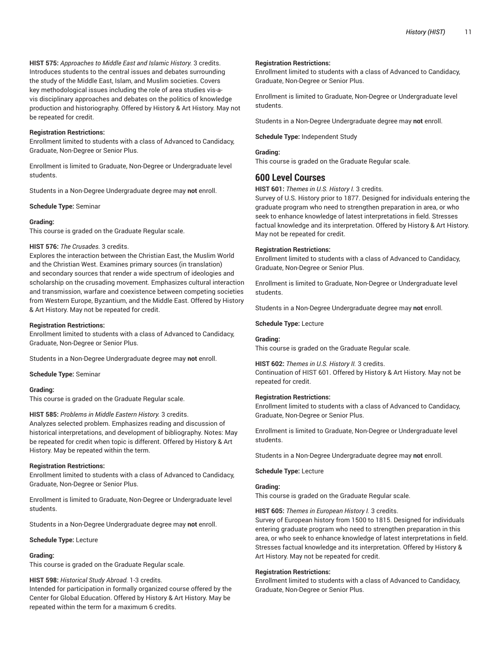**HIST 575:** *Approaches to Middle East and Islamic History.* 3 credits. Introduces students to the central issues and debates surrounding the study of the Middle East, Islam, and Muslim societies. Covers key methodological issues including the role of area studies vis-avis disciplinary approaches and debates on the politics of knowledge production and historiography. Offered by History & Art History. May not be repeated for credit.

#### **Registration Restrictions:**

Enrollment limited to students with a class of Advanced to Candidacy, Graduate, Non-Degree or Senior Plus.

Enrollment is limited to Graduate, Non-Degree or Undergraduate level students.

Students in a Non-Degree Undergraduate degree may **not** enroll.

**Schedule Type:** Seminar

#### **Grading:**

This course is graded on the Graduate Regular scale.

### **HIST 576:** *The Crusades.* 3 credits.

Explores the interaction between the Christian East, the Muslim World and the Christian West. Examines primary sources (in translation) and secondary sources that render a wide spectrum of ideologies and scholarship on the crusading movement. Emphasizes cultural interaction and transmission, warfare and coexistence between competing societies from Western Europe, Byzantium, and the Middle East. Offered by History & Art History. May not be repeated for credit.

#### **Registration Restrictions:**

Enrollment limited to students with a class of Advanced to Candidacy, Graduate, Non-Degree or Senior Plus.

Students in a Non-Degree Undergraduate degree may **not** enroll.

**Schedule Type:** Seminar

#### **Grading:**

This course is graded on the Graduate Regular scale.

#### **HIST 585:** *Problems in Middle Eastern History.* 3 credits.

Analyzes selected problem. Emphasizes reading and discussion of historical interpretations, and development of bibliography. Notes: May be repeated for credit when topic is different. Offered by History & Art History. May be repeated within the term.

#### **Registration Restrictions:**

Enrollment limited to students with a class of Advanced to Candidacy, Graduate, Non-Degree or Senior Plus.

Enrollment is limited to Graduate, Non-Degree or Undergraduate level students.

Students in a Non-Degree Undergraduate degree may **not** enroll.

#### **Schedule Type:** Lecture

### **Grading:**

This course is graded on the Graduate Regular scale.

**HIST 598:** *Historical Study Abroad.* 1-3 credits.

Intended for participation in formally organized course offered by the Center for Global Education. Offered by History & Art History. May be repeated within the term for a maximum 6 credits.

#### **Registration Restrictions:**

Enrollment limited to students with a class of Advanced to Candidacy, Graduate, Non-Degree or Senior Plus.

Enrollment is limited to Graduate, Non-Degree or Undergraduate level students.

Students in a Non-Degree Undergraduate degree may **not** enroll.

**Schedule Type:** Independent Study

#### **Grading:**

This course is graded on the Graduate Regular scale.

# **600 Level Courses**

**HIST 601:** *Themes in U.S. History I.* 3 credits.

Survey of U.S. History prior to 1877. Designed for individuals entering the graduate program who need to strengthen preparation in area, or who seek to enhance knowledge of latest interpretations in field. Stresses factual knowledge and its interpretation. Offered by History & Art History. May not be repeated for credit.

#### **Registration Restrictions:**

Enrollment limited to students with a class of Advanced to Candidacy, Graduate, Non-Degree or Senior Plus.

Enrollment is limited to Graduate, Non-Degree or Undergraduate level students.

Students in a Non-Degree Undergraduate degree may **not** enroll.

**Schedule Type:** Lecture

#### **Grading:**

This course is graded on the Graduate Regular scale.

**HIST 602:** *Themes in U.S. History II.* 3 credits. Continuation of HIST 601. Offered by History & Art History. May not be repeated for credit.

#### **Registration Restrictions:**

Enrollment limited to students with a class of Advanced to Candidacy, Graduate, Non-Degree or Senior Plus.

Enrollment is limited to Graduate, Non-Degree or Undergraduate level students.

Students in a Non-Degree Undergraduate degree may **not** enroll.

**Schedule Type:** Lecture

# **Grading:**

This course is graded on the Graduate Regular scale.

#### **HIST 605:** *Themes in European History I.* 3 credits.

Survey of European history from 1500 to 1815. Designed for individuals entering graduate program who need to strengthen preparation in this area, or who seek to enhance knowledge of latest interpretations in field. Stresses factual knowledge and its interpretation. Offered by History & Art History. May not be repeated for credit.

#### **Registration Restrictions:**

Enrollment limited to students with a class of Advanced to Candidacy, Graduate, Non-Degree or Senior Plus.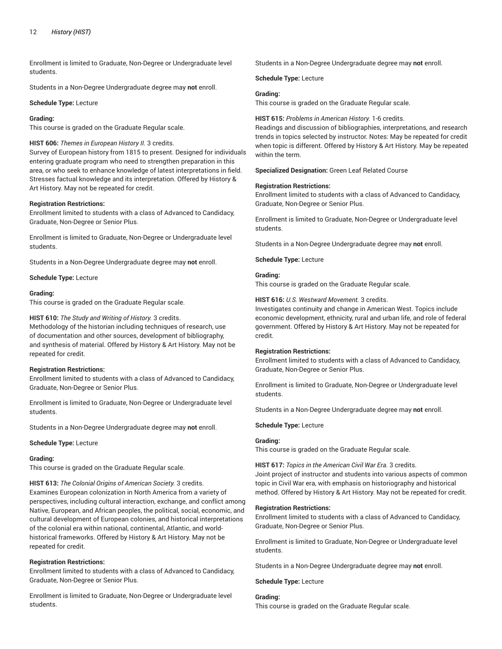Enrollment is limited to Graduate, Non-Degree or Undergraduate level students.

Students in a Non-Degree Undergraduate degree may **not** enroll.

**Schedule Type:** Lecture

## **Grading:**

This course is graded on the Graduate Regular scale.

# **HIST 606:** *Themes in European History II.* 3 credits.

Survey of European history from 1815 to present. Designed for individuals entering graduate program who need to strengthen preparation in this area, or who seek to enhance knowledge of latest interpretations in field. Stresses factual knowledge and its interpretation. Offered by History & Art History. May not be repeated for credit.

# **Registration Restrictions:**

Enrollment limited to students with a class of Advanced to Candidacy, Graduate, Non-Degree or Senior Plus.

Enrollment is limited to Graduate, Non-Degree or Undergraduate level students.

Students in a Non-Degree Undergraduate degree may **not** enroll.

**Schedule Type:** Lecture

#### **Grading:**

This course is graded on the Graduate Regular scale.

#### **HIST 610:** *The Study and Writing of History.* 3 credits.

Methodology of the historian including techniques of research, use of documentation and other sources, development of bibliography, and synthesis of material. Offered by History & Art History. May not be repeated for credit.

# **Registration Restrictions:**

Enrollment limited to students with a class of Advanced to Candidacy, Graduate, Non-Degree or Senior Plus.

Enrollment is limited to Graduate, Non-Degree or Undergraduate level students.

Students in a Non-Degree Undergraduate degree may **not** enroll.

**Schedule Type:** Lecture

#### **Grading:**

This course is graded on the Graduate Regular scale.

**HIST 613:** *The Colonial Origins of American Society.* 3 credits.

Examines European colonization in North America from a variety of perspectives, including cultural interaction, exchange, and conflict among Native, European, and African peoples, the political, social, economic, and cultural development of European colonies, and historical interpretations of the colonial era within national, continental, Atlantic, and worldhistorical frameworks. Offered by History & Art History. May not be repeated for credit.

# **Registration Restrictions:**

Enrollment limited to students with a class of Advanced to Candidacy, Graduate, Non-Degree or Senior Plus.

Enrollment is limited to Graduate, Non-Degree or Undergraduate level students.

Students in a Non-Degree Undergraduate degree may **not** enroll.

**Schedule Type:** Lecture

# **Grading:**

This course is graded on the Graduate Regular scale.

#### **HIST 615:** *Problems in American History.* 1-6 credits.

Readings and discussion of bibliographies, interpretations, and research trends in topics selected by instructor. Notes: May be repeated for credit when topic is different. Offered by History & Art History. May be repeated within the term.

**Specialized Designation:** Green Leaf Related Course

#### **Registration Restrictions:**

Enrollment limited to students with a class of Advanced to Candidacy, Graduate, Non-Degree or Senior Plus.

Enrollment is limited to Graduate, Non-Degree or Undergraduate level students.

Students in a Non-Degree Undergraduate degree may **not** enroll.

**Schedule Type:** Lecture

# **Grading:**

This course is graded on the Graduate Regular scale.

**HIST 616:** *U.S. Westward Movement.* 3 credits.

Investigates continuity and change in American West. Topics include economic development, ethnicity, rural and urban life, and role of federal government. Offered by History & Art History. May not be repeated for credit.

# **Registration Restrictions:**

Enrollment limited to students with a class of Advanced to Candidacy, Graduate, Non-Degree or Senior Plus.

Enrollment is limited to Graduate, Non-Degree or Undergraduate level students.

Students in a Non-Degree Undergraduate degree may **not** enroll.

**Schedule Type:** Lecture

# **Grading:**

This course is graded on the Graduate Regular scale.

**HIST 617:** *Topics in the American Civil War Era.* 3 credits.

Joint project of instructor and students into various aspects of common topic in Civil War era, with emphasis on historiography and historical method. Offered by History & Art History. May not be repeated for credit.

#### **Registration Restrictions:**

Enrollment limited to students with a class of Advanced to Candidacy, Graduate, Non-Degree or Senior Plus.

Enrollment is limited to Graduate, Non-Degree or Undergraduate level students.

Students in a Non-Degree Undergraduate degree may **not** enroll.

**Schedule Type:** Lecture

# **Grading:**

This course is graded on the Graduate Regular scale.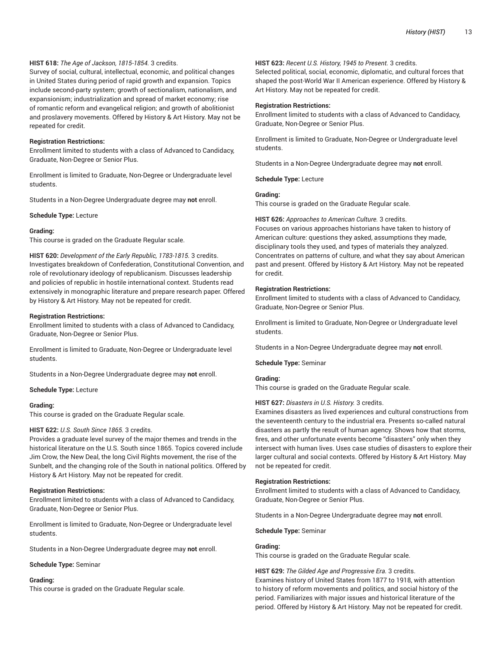# **HIST 618:** *The Age of Jackson, 1815-1854.* 3 credits.

Survey of social, cultural, intellectual, economic, and political changes in United States during period of rapid growth and expansion. Topics include second-party system; growth of sectionalism, nationalism, and expansionism; industrialization and spread of market economy; rise of romantic reform and evangelical religion; and growth of abolitionist and proslavery movements. Offered by History & Art History. May not be repeated for credit.

#### **Registration Restrictions:**

Enrollment limited to students with a class of Advanced to Candidacy, Graduate, Non-Degree or Senior Plus.

Enrollment is limited to Graduate, Non-Degree or Undergraduate level students.

Students in a Non-Degree Undergraduate degree may **not** enroll.

#### **Schedule Type:** Lecture

#### **Grading:**

This course is graded on the Graduate Regular scale.

**HIST 620:** *Development of the Early Republic, 1783-1815.* 3 credits. Investigates breakdown of Confederation, Constitutional Convention, and role of revolutionary ideology of republicanism. Discusses leadership and policies of republic in hostile international context. Students read extensively in monographic literature and prepare research paper. Offered by History & Art History. May not be repeated for credit.

#### **Registration Restrictions:**

Enrollment limited to students with a class of Advanced to Candidacy, Graduate, Non-Degree or Senior Plus.

Enrollment is limited to Graduate, Non-Degree or Undergraduate level students.

Students in a Non-Degree Undergraduate degree may **not** enroll.

#### **Schedule Type:** Lecture

#### **Grading:**

This course is graded on the Graduate Regular scale.

#### **HIST 622:** *U.S. South Since 1865.* 3 credits.

Provides a graduate level survey of the major themes and trends in the historical literature on the U.S. South since 1865. Topics covered include Jim Crow, the New Deal, the long Civil Rights movement, the rise of the Sunbelt, and the changing role of the South in national politics. Offered by History & Art History. May not be repeated for credit.

#### **Registration Restrictions:**

Enrollment limited to students with a class of Advanced to Candidacy, Graduate, Non-Degree or Senior Plus.

Enrollment is limited to Graduate, Non-Degree or Undergraduate level students.

Students in a Non-Degree Undergraduate degree may **not** enroll.

**Schedule Type:** Seminar

# **Grading:**

This course is graded on the Graduate Regular scale.

#### **HIST 623:** *Recent U.S. History, 1945 to Present.* 3 credits.

Selected political, social, economic, diplomatic, and cultural forces that shaped the post-World War II American experience. Offered by History & Art History. May not be repeated for credit.

#### **Registration Restrictions:**

Enrollment limited to students with a class of Advanced to Candidacy, Graduate, Non-Degree or Senior Plus.

Enrollment is limited to Graduate, Non-Degree or Undergraduate level students.

Students in a Non-Degree Undergraduate degree may **not** enroll.

**Schedule Type:** Lecture

# **Grading:**

This course is graded on the Graduate Regular scale.

#### **HIST 626:** *Approaches to American Culture.* 3 credits.

Focuses on various approaches historians have taken to history of American culture: questions they asked, assumptions they made, disciplinary tools they used, and types of materials they analyzed. Concentrates on patterns of culture, and what they say about American past and present. Offered by History & Art History. May not be repeated for credit.

# **Registration Restrictions:**

Enrollment limited to students with a class of Advanced to Candidacy, Graduate, Non-Degree or Senior Plus.

Enrollment is limited to Graduate, Non-Degree or Undergraduate level students.

Students in a Non-Degree Undergraduate degree may **not** enroll.

**Schedule Type:** Seminar

# **Grading:**

This course is graded on the Graduate Regular scale.

# **HIST 627:** *Disasters in U.S. History.* 3 credits.

Examines disasters as lived experiences and cultural constructions from the seventeenth century to the industrial era. Presents so-called natural disasters as partly the result of human agency. Shows how that storms, fires, and other unfortunate events become "disasters" only when they intersect with human lives. Uses case studies of disasters to explore their larger cultural and social contexts. Offered by History & Art History. May not be repeated for credit.

#### **Registration Restrictions:**

Enrollment limited to students with a class of Advanced to Candidacy, Graduate, Non-Degree or Senior Plus.

Students in a Non-Degree Undergraduate degree may **not** enroll.

**Schedule Type:** Seminar

# **Grading:**

This course is graded on the Graduate Regular scale.

**HIST 629:** *The Gilded Age and Progressive Era.* 3 credits. Examines history of United States from 1877 to 1918, with attention to history of reform movements and politics, and social history of the period. Familiarizes with major issues and historical literature of the period. Offered by History & Art History. May not be repeated for credit.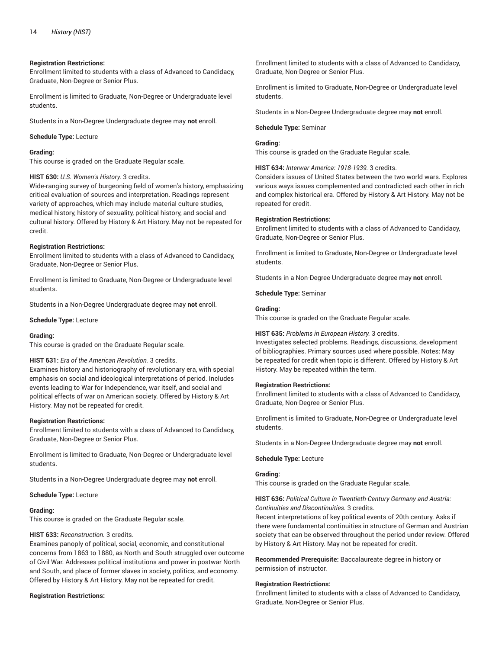### **Registration Restrictions:**

Enrollment limited to students with a class of Advanced to Candidacy, Graduate, Non-Degree or Senior Plus.

Enrollment is limited to Graduate, Non-Degree or Undergraduate level students.

Students in a Non-Degree Undergraduate degree may **not** enroll.

**Schedule Type:** Lecture

### **Grading:**

This course is graded on the Graduate Regular scale.

# **HIST 630:** *U.S. Women's History.* 3 credits.

Wide-ranging survey of burgeoning field of women's history, emphasizing critical evaluation of sources and interpretation. Readings represent variety of approaches, which may include material culture studies, medical history, history of sexuality, political history, and social and cultural history. Offered by History & Art History. May not be repeated for credit.

#### **Registration Restrictions:**

Enrollment limited to students with a class of Advanced to Candidacy, Graduate, Non-Degree or Senior Plus.

Enrollment is limited to Graduate, Non-Degree or Undergraduate level students.

Students in a Non-Degree Undergraduate degree may **not** enroll.

#### **Schedule Type:** Lecture

#### **Grading:**

This course is graded on the Graduate Regular scale.

# **HIST 631:** *Era of the American Revolution.* 3 credits.

Examines history and historiography of revolutionary era, with special emphasis on social and ideological interpretations of period. Includes events leading to War for Independence, war itself, and social and political effects of war on American society. Offered by History & Art History. May not be repeated for credit.

#### **Registration Restrictions:**

Enrollment limited to students with a class of Advanced to Candidacy, Graduate, Non-Degree or Senior Plus.

Enrollment is limited to Graduate, Non-Degree or Undergraduate level students.

Students in a Non-Degree Undergraduate degree may **not** enroll.

**Schedule Type:** Lecture

#### **Grading:**

This course is graded on the Graduate Regular scale.

#### **HIST 633:** *Reconstruction.* 3 credits.

Examines panoply of political, social, economic, and constitutional concerns from 1863 to 1880, as North and South struggled over outcome of Civil War. Addresses political institutions and power in postwar North and South, and place of former slaves in society, politics, and economy. Offered by History & Art History. May not be repeated for credit.

#### **Registration Restrictions:**

Enrollment limited to students with a class of Advanced to Candidacy, Graduate, Non-Degree or Senior Plus.

Enrollment is limited to Graduate, Non-Degree or Undergraduate level students.

Students in a Non-Degree Undergraduate degree may **not** enroll.

#### **Schedule Type:** Seminar

# **Grading:**

This course is graded on the Graduate Regular scale.

**HIST 634:** *Interwar America: 1918-1939.* 3 credits.

Considers issues of United States between the two world wars. Explores various ways issues complemented and contradicted each other in rich and complex historical era. Offered by History & Art History. May not be repeated for credit.

#### **Registration Restrictions:**

Enrollment limited to students with a class of Advanced to Candidacy, Graduate, Non-Degree or Senior Plus.

Enrollment is limited to Graduate, Non-Degree or Undergraduate level students.

Students in a Non-Degree Undergraduate degree may **not** enroll.

**Schedule Type:** Seminar

#### **Grading:**

This course is graded on the Graduate Regular scale.

#### **HIST 635:** *Problems in European History.* 3 credits.

Investigates selected problems. Readings, discussions, development of bibliographies. Primary sources used where possible. Notes: May be repeated for credit when topic is different. Offered by History & Art History. May be repeated within the term.

#### **Registration Restrictions:**

Enrollment limited to students with a class of Advanced to Candidacy, Graduate, Non-Degree or Senior Plus.

Enrollment is limited to Graduate, Non-Degree or Undergraduate level students.

Students in a Non-Degree Undergraduate degree may **not** enroll.

# **Schedule Type:** Lecture

# **Grading:**

This course is graded on the Graduate Regular scale.

#### **HIST 636:** *Political Culture in Twentieth-Century Germany and Austria: Continuities and Discontinuities.* 3 credits.

Recent interpretations of key political events of 20th century. Asks if there were fundamental continuities in structure of German and Austrian society that can be observed throughout the period under review. Offered by History & Art History. May not be repeated for credit.

**Recommended Prerequisite:** Baccalaureate degree in history or permission of instructor.

#### **Registration Restrictions:**

Enrollment limited to students with a class of Advanced to Candidacy, Graduate, Non-Degree or Senior Plus.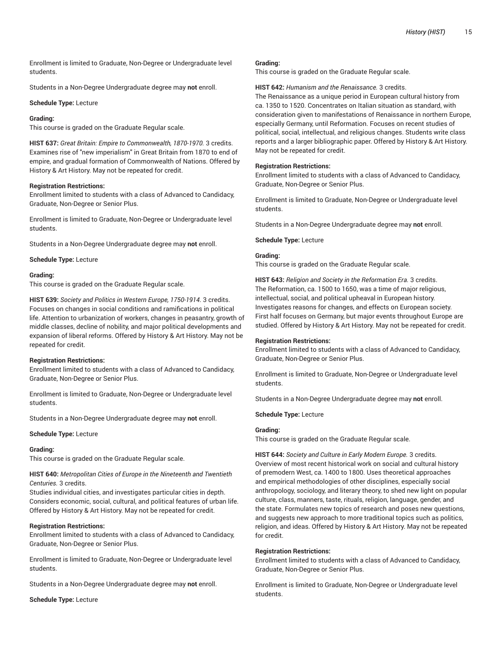Enrollment is limited to Graduate, Non-Degree or Undergraduate level students.

Students in a Non-Degree Undergraduate degree may **not** enroll.

## **Schedule Type:** Lecture

## **Grading:**

This course is graded on the Graduate Regular scale.

**HIST 637:** *Great Britain: Empire to Commonwealth, 1870-1970.* 3 credits. Examines rise of "new imperialism" in Great Britain from 1870 to end of empire, and gradual formation of Commonwealth of Nations. Offered by History & Art History. May not be repeated for credit.

#### **Registration Restrictions:**

Enrollment limited to students with a class of Advanced to Candidacy, Graduate, Non-Degree or Senior Plus.

Enrollment is limited to Graduate, Non-Degree or Undergraduate level students.

Students in a Non-Degree Undergraduate degree may **not** enroll.

**Schedule Type:** Lecture

#### **Grading:**

This course is graded on the Graduate Regular scale.

**HIST 639:** *Society and Politics in Western Europe, 1750-1914.* 3 credits. Focuses on changes in social conditions and ramifications in political life. Attention to urbanization of workers, changes in peasantry, growth of middle classes, decline of nobility, and major political developments and expansion of liberal reforms. Offered by History & Art History. May not be repeated for credit.

# **Registration Restrictions:**

Enrollment limited to students with a class of Advanced to Candidacy, Graduate, Non-Degree or Senior Plus.

Enrollment is limited to Graduate, Non-Degree or Undergraduate level students.

Students in a Non-Degree Undergraduate degree may **not** enroll.

#### **Schedule Type:** Lecture

# **Grading:**

This course is graded on the Graduate Regular scale.

# **HIST 640:** *Metropolitan Cities of Europe in the Nineteenth and Twentieth Centuries.* 3 credits.

Studies individual cities, and investigates particular cities in depth. Considers economic, social, cultural, and political features of urban life. Offered by History & Art History. May not be repeated for credit.

# **Registration Restrictions:**

Enrollment limited to students with a class of Advanced to Candidacy, Graduate, Non-Degree or Senior Plus.

Enrollment is limited to Graduate, Non-Degree or Undergraduate level students.

Students in a Non-Degree Undergraduate degree may **not** enroll.

**Schedule Type:** Lecture

### **Grading:**

This course is graded on the Graduate Regular scale.

#### **HIST 642:** *Humanism and the Renaissance.* 3 credits.

The Renaissance as a unique period in European cultural history from ca. 1350 to 1520. Concentrates on Italian situation as standard, with consideration given to manifestations of Renaissance in northern Europe, especially Germany, until Reformation. Focuses on recent studies of political, social, intellectual, and religious changes. Students write class reports and a larger bibliographic paper. Offered by History & Art History. May not be repeated for credit.

### **Registration Restrictions:**

Enrollment limited to students with a class of Advanced to Candidacy, Graduate, Non-Degree or Senior Plus.

Enrollment is limited to Graduate, Non-Degree or Undergraduate level students.

Students in a Non-Degree Undergraduate degree may **not** enroll.

**Schedule Type:** Lecture

# **Grading:**

This course is graded on the Graduate Regular scale.

**HIST 643:** *Religion and Society in the Reformation Era.* 3 credits. The Reformation, ca. 1500 to 1650, was a time of major religious, intellectual, social, and political upheaval in European history. Investigates reasons for changes, and effects on European society. First half focuses on Germany, but major events throughout Europe are studied. Offered by History & Art History. May not be repeated for credit.

#### **Registration Restrictions:**

Enrollment limited to students with a class of Advanced to Candidacy, Graduate, Non-Degree or Senior Plus.

Enrollment is limited to Graduate, Non-Degree or Undergraduate level students.

Students in a Non-Degree Undergraduate degree may **not** enroll.

**Schedule Type:** Lecture

#### **Grading:**

This course is graded on the Graduate Regular scale.

**HIST 644:** *Society and Culture in Early Modern Europe.* 3 credits. Overview of most recent historical work on social and cultural history of premodern West, ca. 1400 to 1800. Uses theoretical approaches and empirical methodologies of other disciplines, especially social anthropology, sociology, and literary theory, to shed new light on popular culture, class, manners, taste, rituals, religion, language, gender, and the state. Formulates new topics of research and poses new questions, and suggests new approach to more traditional topics such as politics, religion, and ideas. Offered by History & Art History. May not be repeated for credit.

# **Registration Restrictions:**

Enrollment limited to students with a class of Advanced to Candidacy, Graduate, Non-Degree or Senior Plus.

Enrollment is limited to Graduate, Non-Degree or Undergraduate level students.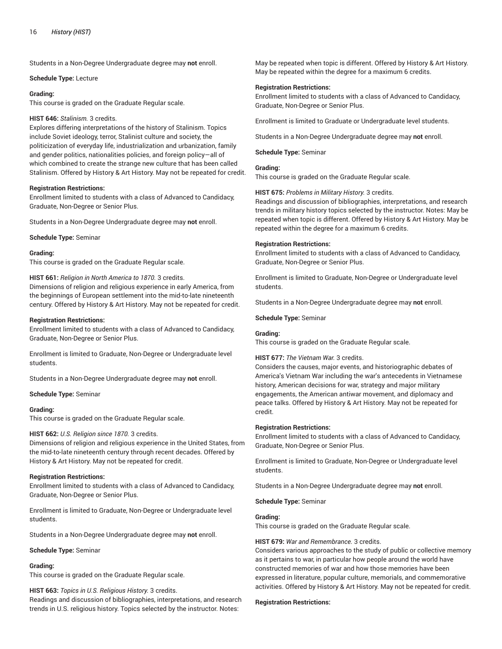Students in a Non-Degree Undergraduate degree may **not** enroll.

**Schedule Type:** Lecture

#### **Grading:**

This course is graded on the Graduate Regular scale.

## **HIST 646:** *Stalinism.* 3 credits.

Explores differing interpretations of the history of Stalinism. Topics include Soviet ideology, terror, Stalinist culture and society, the politicization of everyday life, industrialization and urbanization, family and gender politics, nationalities policies, and foreign policy—all of which combined to create the strange new culture that has been called Stalinism. Offered by History & Art History. May not be repeated for credit.

#### **Registration Restrictions:**

Enrollment limited to students with a class of Advanced to Candidacy, Graduate, Non-Degree or Senior Plus.

Students in a Non-Degree Undergraduate degree may **not** enroll.

**Schedule Type:** Seminar

#### **Grading:**

This course is graded on the Graduate Regular scale.

# **HIST 661:** *Religion in North America to 1870.* 3 credits.

Dimensions of religion and religious experience in early America, from the beginnings of European settlement into the mid-to-late nineteenth century. Offered by History & Art History. May not be repeated for credit.

#### **Registration Restrictions:**

Enrollment limited to students with a class of Advanced to Candidacy, Graduate, Non-Degree or Senior Plus.

Enrollment is limited to Graduate, Non-Degree or Undergraduate level students.

Students in a Non-Degree Undergraduate degree may **not** enroll.

**Schedule Type:** Seminar

#### **Grading:**

This course is graded on the Graduate Regular scale.

# **HIST 662:** *U.S. Religion since 1870.* 3 credits.

Dimensions of religion and religious experience in the United States, from the mid-to-late nineteenth century through recent decades. Offered by History & Art History. May not be repeated for credit.

# **Registration Restrictions:**

Enrollment limited to students with a class of Advanced to Candidacy, Graduate, Non-Degree or Senior Plus.

Enrollment is limited to Graduate, Non-Degree or Undergraduate level students.

Students in a Non-Degree Undergraduate degree may **not** enroll.

#### **Schedule Type:** Seminar

# **Grading:**

This course is graded on the Graduate Regular scale.

# **HIST 663:** *Topics in U.S. Religious History.* 3 credits.

Readings and discussion of bibliographies, interpretations, and research trends in U.S. religious history. Topics selected by the instructor. Notes:

May be repeated when topic is different. Offered by History & Art History. May be repeated within the degree for a maximum 6 credits.

## **Registration Restrictions:**

Enrollment limited to students with a class of Advanced to Candidacy, Graduate, Non-Degree or Senior Plus.

Enrollment is limited to Graduate or Undergraduate level students.

Students in a Non-Degree Undergraduate degree may **not** enroll.

**Schedule Type:** Seminar

### **Grading:**

This course is graded on the Graduate Regular scale.

# **HIST 675:** *Problems in Military History.* 3 credits.

Readings and discussion of bibliographies, interpretations, and research trends in military history topics selected by the instructor. Notes: May be repeated when topic is different. Offered by History & Art History. May be repeated within the degree for a maximum 6 credits.

### **Registration Restrictions:**

Enrollment limited to students with a class of Advanced to Candidacy, Graduate, Non-Degree or Senior Plus.

Enrollment is limited to Graduate, Non-Degree or Undergraduate level students.

Students in a Non-Degree Undergraduate degree may **not** enroll.

**Schedule Type:** Seminar

# **Grading:**

This course is graded on the Graduate Regular scale.

# **HIST 677:** *The Vietnam War.* 3 credits.

Considers the causes, major events, and historiographic debates of America's Vietnam War including the war's antecedents in Vietnamese history, American decisions for war, strategy and major military engagements, the American antiwar movement, and diplomacy and peace talks. Offered by History & Art History. May not be repeated for credit.

# **Registration Restrictions:**

Enrollment limited to students with a class of Advanced to Candidacy, Graduate, Non-Degree or Senior Plus.

Enrollment is limited to Graduate, Non-Degree or Undergraduate level students.

Students in a Non-Degree Undergraduate degree may **not** enroll.

#### **Schedule Type:** Seminar

# **Grading:**

This course is graded on the Graduate Regular scale.

# **HIST 679:** *War and Remembrance.* 3 credits.

Considers various approaches to the study of public or collective memory as it pertains to war, in particular how people around the world have constructed memories of war and how those memories have been expressed in literature, popular culture, memorials, and commemorative activities. Offered by History & Art History. May not be repeated for credit.

#### **Registration Restrictions:**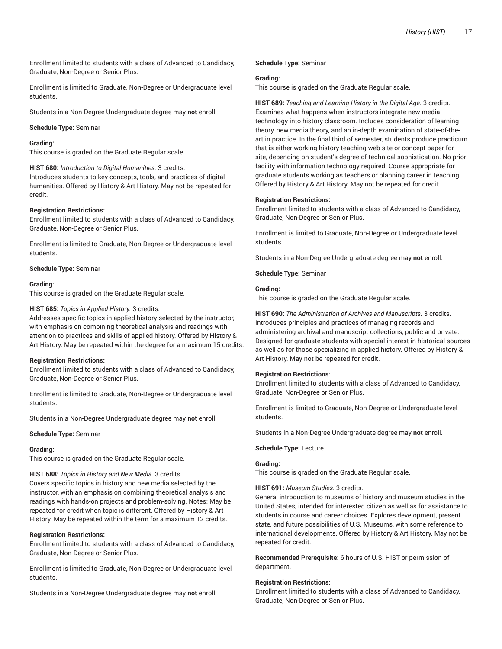Enrollment limited to students with a class of Advanced to Candidacy, Graduate, Non-Degree or Senior Plus.

Enrollment is limited to Graduate, Non-Degree or Undergraduate level students.

Students in a Non-Degree Undergraduate degree may **not** enroll.

#### **Schedule Type:** Seminar

#### **Grading:**

This course is graded on the Graduate Regular scale.

**HIST 680:** *Introduction to Digital Humanities.* 3 credits.

Introduces students to key concepts, tools, and practices of digital humanities. Offered by History & Art History. May not be repeated for credit.

#### **Registration Restrictions:**

Enrollment limited to students with a class of Advanced to Candidacy, Graduate, Non-Degree or Senior Plus.

Enrollment is limited to Graduate, Non-Degree or Undergraduate level students.

**Schedule Type:** Seminar

#### **Grading:**

This course is graded on the Graduate Regular scale.

#### **HIST 685:** *Topics in Applied History.* 3 credits.

Addresses specific topics in applied history selected by the instructor, with emphasis on combining theoretical analysis and readings with attention to practices and skills of applied history. Offered by History & Art History. May be repeated within the degree for a maximum 15 credits.

# **Registration Restrictions:**

Enrollment limited to students with a class of Advanced to Candidacy, Graduate, Non-Degree or Senior Plus.

Enrollment is limited to Graduate, Non-Degree or Undergraduate level students.

Students in a Non-Degree Undergraduate degree may **not** enroll.

**Schedule Type:** Seminar

#### **Grading:**

This course is graded on the Graduate Regular scale.

# **HIST 688:** *Topics in History and New Media.* 3 credits.

Covers specific topics in history and new media selected by the instructor, with an emphasis on combining theoretical analysis and readings with hands-on projects and problem-solving. Notes: May be repeated for credit when topic is different. Offered by History & Art History. May be repeated within the term for a maximum 12 credits.

#### **Registration Restrictions:**

Enrollment limited to students with a class of Advanced to Candidacy, Graduate, Non-Degree or Senior Plus.

Enrollment is limited to Graduate, Non-Degree or Undergraduate level students.

Students in a Non-Degree Undergraduate degree may **not** enroll.

#### **Schedule Type:** Seminar

#### **Grading:**

This course is graded on the Graduate Regular scale.

**HIST 689:** *Teaching and Learning History in the Digital Age.* 3 credits. Examines what happens when instructors integrate new media technology into history classroom. Includes consideration of learning theory, new media theory, and an in-depth examination of state-of-theart in practice. In the final third of semester, students produce practicum that is either working history teaching web site or concept paper for site, depending on student's degree of technical sophistication. No prior facility with information technology required. Course appropriate for graduate students working as teachers or planning career in teaching. Offered by History & Art History. May not be repeated for credit.

#### **Registration Restrictions:**

Enrollment limited to students with a class of Advanced to Candidacy, Graduate, Non-Degree or Senior Plus.

Enrollment is limited to Graduate, Non-Degree or Undergraduate level students.

Students in a Non-Degree Undergraduate degree may **not** enroll.

**Schedule Type:** Seminar

#### **Grading:**

This course is graded on the Graduate Regular scale.

**HIST 690:** *The Administration of Archives and Manuscripts.* 3 credits. Introduces principles and practices of managing records and administering archival and manuscript collections, public and private. Designed for graduate students with special interest in historical sources as well as for those specializing in applied history. Offered by History & Art History. May not be repeated for credit.

#### **Registration Restrictions:**

Enrollment limited to students with a class of Advanced to Candidacy, Graduate, Non-Degree or Senior Plus.

Enrollment is limited to Graduate, Non-Degree or Undergraduate level students.

Students in a Non-Degree Undergraduate degree may **not** enroll.

#### **Schedule Type:** Lecture

### **Grading:**

This course is graded on the Graduate Regular scale.

#### **HIST 691:** *Museum Studies.* 3 credits.

General introduction to museums of history and museum studies in the United States, intended for interested citizen as well as for assistance to students in course and career choices. Explores development, present state, and future possibilities of U.S. Museums, with some reference to international developments. Offered by History & Art History. May not be repeated for credit.

**Recommended Prerequisite:** 6 hours of U.S. HIST or permission of department.

#### **Registration Restrictions:**

Enrollment limited to students with a class of Advanced to Candidacy, Graduate, Non-Degree or Senior Plus.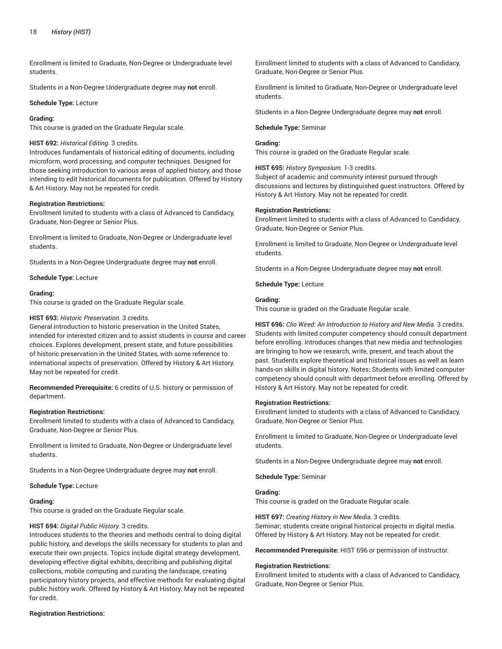Enrollment is limited to Graduate, Non-Degree or Undergraduate level students.

Students in a Non-Degree Undergraduate degree may **not** enroll.

**Schedule Type:** Lecture

## **Grading:**

This course is graded on the Graduate Regular scale.

# **HIST 692:** *Historical Editing.* 3 credits.

Introduces fundamentals of historical editing of documents, including microform, word processing, and computer techniques. Designed for those seeking introduction to various areas of applied history, and those intending to edit historical documents for publication. Offered by History & Art History. May not be repeated for credit.

#### **Registration Restrictions:**

Enrollment limited to students with a class of Advanced to Candidacy, Graduate, Non-Degree or Senior Plus.

Enrollment is limited to Graduate, Non-Degree or Undergraduate level students.

Students in a Non-Degree Undergraduate degree may **not** enroll.

**Schedule Type:** Lecture

#### **Grading:**

This course is graded on the Graduate Regular scale.

#### **HIST 693:** *Historic Preservation.* 3 credits.

General introduction to historic preservation in the United States, intended for interested citizen and to assist students in course and career choices. Explores development, present state, and future possibilities of historic preservation in the United States, with some reference to international aspects of preservation. Offered by History & Art History. May not be repeated for credit.

**Recommended Prerequisite:** 6 credits of U.S. history or permission of department.

#### **Registration Restrictions:**

Enrollment limited to students with a class of Advanced to Candidacy, Graduate, Non-Degree or Senior Plus.

Enrollment is limited to Graduate, Non-Degree or Undergraduate level students.

Students in a Non-Degree Undergraduate degree may **not** enroll.

#### **Schedule Type:** Lecture

#### **Grading:**

This course is graded on the Graduate Regular scale.

#### **HIST 694:** *Digital Public History.* 3 credits.

Introduces students to the theories and methods central to doing digital public history, and develops the skills necessary for students to plan and execute their own projects. Topics include digital strategy development, developing effective digital exhibits, describing and publishing digital collections, mobile computing and curating the landscape, creating participatory history projects, and effective methods for evaluating digital public history work. Offered by History & Art History. May not be repeated for credit.

### **Registration Restrictions:**

Enrollment limited to students with a class of Advanced to Candidacy, Graduate, Non-Degree or Senior Plus.

Enrollment is limited to Graduate, Non-Degree or Undergraduate level students.

Students in a Non-Degree Undergraduate degree may **not** enroll.

#### **Schedule Type:** Seminar

# **Grading:**

This course is graded on the Graduate Regular scale.

**HIST 695:** *History Symposium.* 1-3 credits.

Subject of academic and community interest pursued through discussions and lectures by distinguished guest instructors. Offered by History & Art History. May not be repeated for credit.

#### **Registration Restrictions:**

Enrollment limited to students with a class of Advanced to Candidacy, Graduate, Non-Degree or Senior Plus.

Enrollment is limited to Graduate, Non-Degree or Undergraduate level students.

Students in a Non-Degree Undergraduate degree may **not** enroll.

**Schedule Type:** Lecture

# **Grading:**

This course is graded on the Graduate Regular scale.

**HIST 696:** *Clio Wired: An Introduction to History and New Media.* 3 credits. Students with limited computer competency should consult department before enrolling. Introduces changes that new media and technologies are bringing to how we research, write, present, and teach about the past. Students explore theoretical and historical issues as well as learn hands-on skills in digital history. Notes: Students with limited computer competency should consult with department before enrolling. Offered by History & Art History. May not be repeated for credit.

#### **Registration Restrictions:**

Enrollment limited to students with a class of Advanced to Candidacy, Graduate, Non-Degree or Senior Plus.

Enrollment is limited to Graduate, Non-Degree or Undergraduate level students.

Students in a Non-Degree Undergraduate degree may **not** enroll.

**Schedule Type:** Seminar

# **Grading:**

This course is graded on the Graduate Regular scale.

**HIST 697:** *Creating History in New Media.* 3 credits.

Seminar; students create original historical projects in digital media. Offered by History & Art History. May not be repeated for credit.

**Recommended Prerequisite:** HIST 696 or permission of instructor.

#### **Registration Restrictions:**

Enrollment limited to students with a class of Advanced to Candidacy, Graduate, Non-Degree or Senior Plus.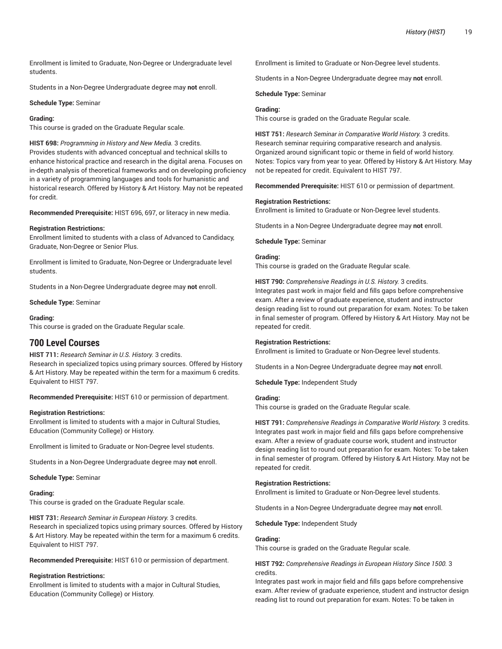Enrollment is limited to Graduate, Non-Degree or Undergraduate level students.

Students in a Non-Degree Undergraduate degree may **not** enroll.

# **Schedule Type:** Seminar

# **Grading:**

This course is graded on the Graduate Regular scale.

**HIST 698:** *Programming in History and New Media.* 3 credits. Provides students with advanced conceptual and technical skills to enhance historical practice and research in the digital arena. Focuses on in-depth analysis of theoretical frameworks and on developing proficiency in a variety of programming languages and tools for humanistic and historical research. Offered by History & Art History. May not be repeated for credit.

**Recommended Prerequisite:** HIST 696, 697, or literacy in new media.

# **Registration Restrictions:**

Enrollment limited to students with a class of Advanced to Candidacy, Graduate, Non-Degree or Senior Plus.

Enrollment is limited to Graduate, Non-Degree or Undergraduate level students.

Students in a Non-Degree Undergraduate degree may **not** enroll.

**Schedule Type:** Seminar

# **Grading:**

This course is graded on the Graduate Regular scale.

# **700 Level Courses**

# **HIST 711:** *Research Seminar in U.S. History.* 3 credits.

Research in specialized topics using primary sources. Offered by History & Art History. May be repeated within the term for a maximum 6 credits. Equivalent to HIST 797.

**Recommended Prerequisite:** HIST 610 or permission of department.

# **Registration Restrictions:**

Enrollment is limited to students with a major in Cultural Studies, Education (Community College) or History.

Enrollment is limited to Graduate or Non-Degree level students.

Students in a Non-Degree Undergraduate degree may **not** enroll.

**Schedule Type:** Seminar

# **Grading:**

This course is graded on the Graduate Regular scale.

**HIST 731:** *Research Seminar in European History.* 3 credits.

Research in specialized topics using primary sources. Offered by History & Art History. May be repeated within the term for a maximum 6 credits. Equivalent to HIST 797.

**Recommended Prerequisite:** HIST 610 or permission of department.

# **Registration Restrictions:**

Enrollment is limited to students with a major in Cultural Studies, Education (Community College) or History.

Enrollment is limited to Graduate or Non-Degree level students.

Students in a Non-Degree Undergraduate degree may **not** enroll.

**Schedule Type:** Seminar

# **Grading:**

This course is graded on the Graduate Regular scale.

**HIST 751:** *Research Seminar in Comparative World History.* 3 credits. Research seminar requiring comparative research and analysis. Organized around significant topic or theme in field of world history. Notes: Topics vary from year to year. Offered by History & Art History. May not be repeated for credit. Equivalent to HIST 797.

**Recommended Prerequisite:** HIST 610 or permission of department.

# **Registration Restrictions:**

Enrollment is limited to Graduate or Non-Degree level students.

Students in a Non-Degree Undergraduate degree may **not** enroll.

**Schedule Type:** Seminar

# **Grading:**

This course is graded on the Graduate Regular scale.

**HIST 790:** *Comprehensive Readings in U.S. History.* 3 credits. Integrates past work in major field and fills gaps before comprehensive exam. After a review of graduate experience, student and instructor design reading list to round out preparation for exam. Notes: To be taken in final semester of program. Offered by History & Art History. May not be repeated for credit.

# **Registration Restrictions:**

Enrollment is limited to Graduate or Non-Degree level students.

Students in a Non-Degree Undergraduate degree may **not** enroll.

**Schedule Type:** Independent Study

# **Grading:**

This course is graded on the Graduate Regular scale.

**HIST 791:** *Comprehensive Readings in Comparative World History.* 3 credits. Integrates past work in major field and fills gaps before comprehensive exam. After a review of graduate course work, student and instructor design reading list to round out preparation for exam. Notes: To be taken in final semester of program. Offered by History & Art History. May not be repeated for credit.

# **Registration Restrictions:**

Enrollment is limited to Graduate or Non-Degree level students.

Students in a Non-Degree Undergraduate degree may **not** enroll.

**Schedule Type:** Independent Study

# **Grading:**

This course is graded on the Graduate Regular scale.

**HIST 792:** *Comprehensive Readings in European History Since 1500.* 3 credits.

Integrates past work in major field and fills gaps before comprehensive exam. After review of graduate experience, student and instructor design reading list to round out preparation for exam. Notes: To be taken in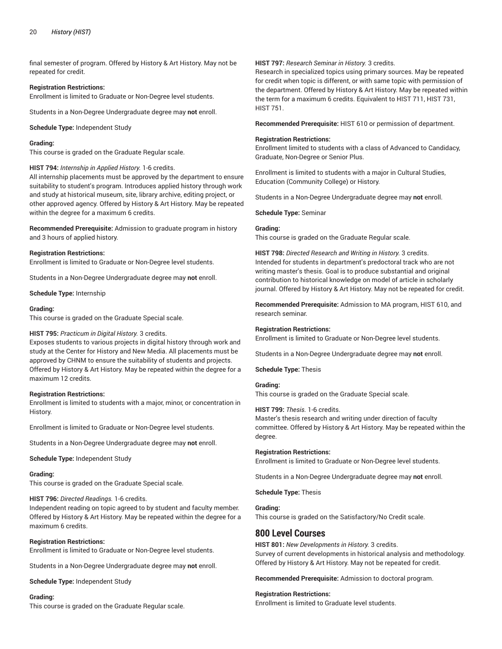final semester of program. Offered by History & Art History. May not be repeated for credit.

#### **Registration Restrictions:**

Enrollment is limited to Graduate or Non-Degree level students.

Students in a Non-Degree Undergraduate degree may **not** enroll.

**Schedule Type:** Independent Study

#### **Grading:**

This course is graded on the Graduate Regular scale.

#### **HIST 794:** *Internship in Applied History.* 1-6 credits.

All internship placements must be approved by the department to ensure suitability to student's program. Introduces applied history through work and study at historical museum, site, library archive, editing project, or other approved agency. Offered by History & Art History. May be repeated within the degree for a maximum 6 credits.

**Recommended Prerequisite:** Admission to graduate program in history and 3 hours of applied history.

#### **Registration Restrictions:**

Enrollment is limited to Graduate or Non-Degree level students.

Students in a Non-Degree Undergraduate degree may **not** enroll.

**Schedule Type:** Internship

#### **Grading:**

This course is graded on the Graduate Special scale.

# **HIST 795:** *Practicum in Digital History.* 3 credits.

Exposes students to various projects in digital history through work and study at the Center for History and New Media. All placements must be approved by CHNM to ensure the suitability of students and projects. Offered by History & Art History. May be repeated within the degree for a maximum 12 credits.

# **Registration Restrictions:**

Enrollment is limited to students with a major, minor, or concentration in History.

Enrollment is limited to Graduate or Non-Degree level students.

Students in a Non-Degree Undergraduate degree may **not** enroll.

**Schedule Type:** Independent Study

# **Grading:**

This course is graded on the Graduate Special scale.

# **HIST 796:** *Directed Readings.* 1-6 credits.

Independent reading on topic agreed to by student and faculty member. Offered by History & Art History. May be repeated within the degree for a maximum 6 credits.

# **Registration Restrictions:**

Enrollment is limited to Graduate or Non-Degree level students.

Students in a Non-Degree Undergraduate degree may **not** enroll.

**Schedule Type:** Independent Study

# **Grading:**

This course is graded on the Graduate Regular scale.

# **HIST 797:** *Research Seminar in History.* 3 credits.

Research in specialized topics using primary sources. May be repeated for credit when topic is different, or with same topic with permission of the department. Offered by History & Art History. May be repeated within the term for a maximum 6 credits. Equivalent to HIST 711, HIST 731, HIST 751.

**Recommended Prerequisite:** HIST 610 or permission of department.

#### **Registration Restrictions:**

Enrollment limited to students with a class of Advanced to Candidacy, Graduate, Non-Degree or Senior Plus.

Enrollment is limited to students with a major in Cultural Studies, Education (Community College) or History.

Students in a Non-Degree Undergraduate degree may **not** enroll.

**Schedule Type:** Seminar

# **Grading:**

This course is graded on the Graduate Regular scale.

**HIST 798:** *Directed Research and Writing in History.* 3 credits. Intended for students in department's predoctoral track who are not writing master's thesis. Goal is to produce substantial and original contribution to historical knowledge on model of article in scholarly journal. Offered by History & Art History. May not be repeated for credit.

**Recommended Prerequisite:** Admission to MA program, HIST 610, and research seminar.

# **Registration Restrictions:**

Enrollment is limited to Graduate or Non-Degree level students.

Students in a Non-Degree Undergraduate degree may **not** enroll.

**Schedule Type:** Thesis

# **Grading:**

This course is graded on the Graduate Special scale.

#### **HIST 799:** *Thesis.* 1-6 credits.

Master's thesis research and writing under direction of faculty committee. Offered by History & Art History. May be repeated within the degree.

#### **Registration Restrictions:**

Enrollment is limited to Graduate or Non-Degree level students.

Students in a Non-Degree Undergraduate degree may **not** enroll.

**Schedule Type:** Thesis

#### **Grading:**

This course is graded on the Satisfactory/No Credit scale.

# **800 Level Courses**

**HIST 801:** *New Developments in History.* 3 credits. Survey of current developments in historical analysis and methodology. Offered by History & Art History. May not be repeated for credit.

**Recommended Prerequisite:** Admission to doctoral program.

#### **Registration Restrictions:**

Enrollment is limited to Graduate level students.